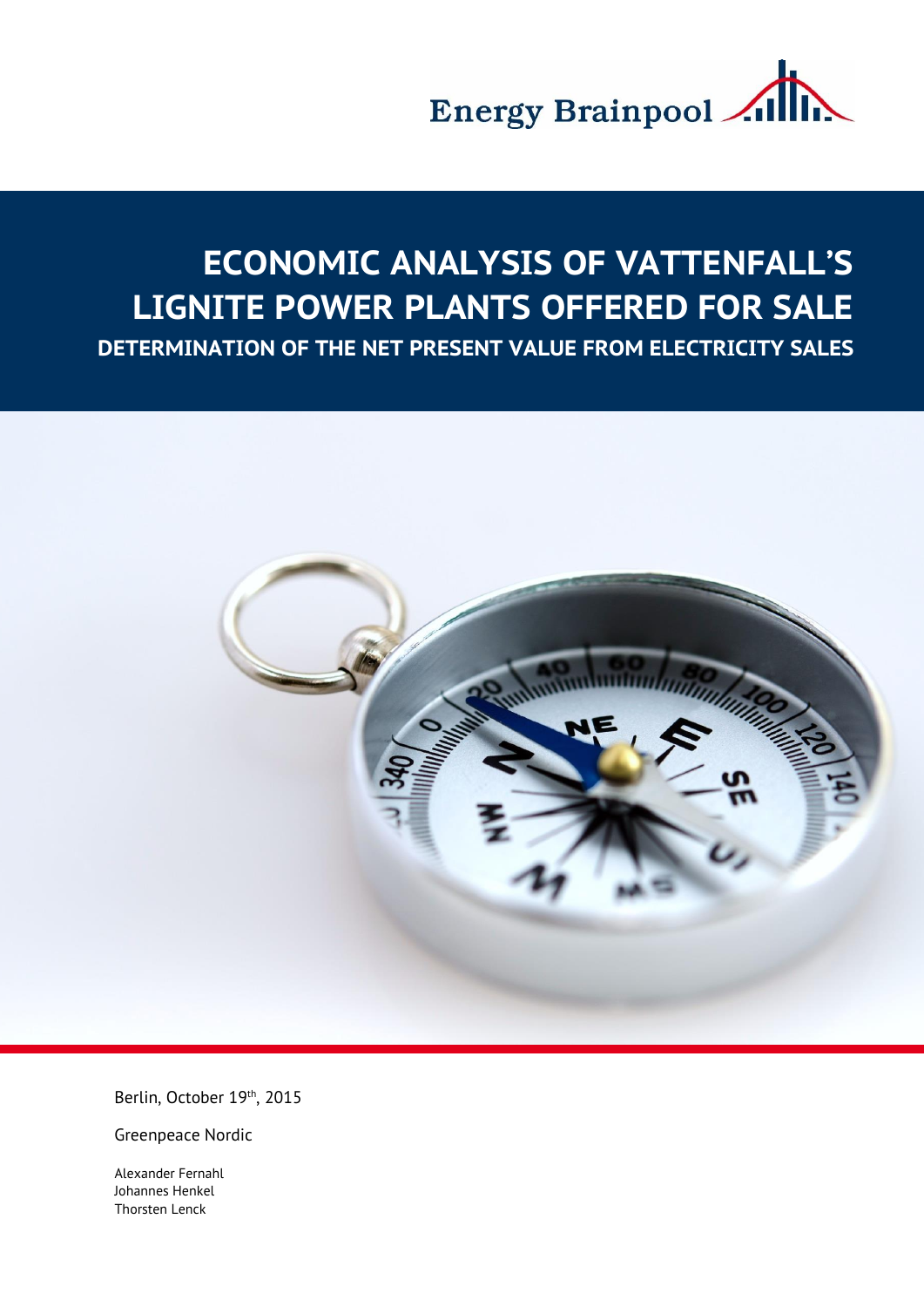

# **ECONOMIC ANALYSIS OF VATTENFALL'S LIGNITE POWER PLANTS OFFERED FOR SALE**

**DETERMINATION OF THE NET PRESENT VALUE FROM ELECTRICITY SALES**



Berlin, October 19th, 2015

Greenpeace Nordic

Alexander Fernahl Johannes Henkel Thorsten Lenck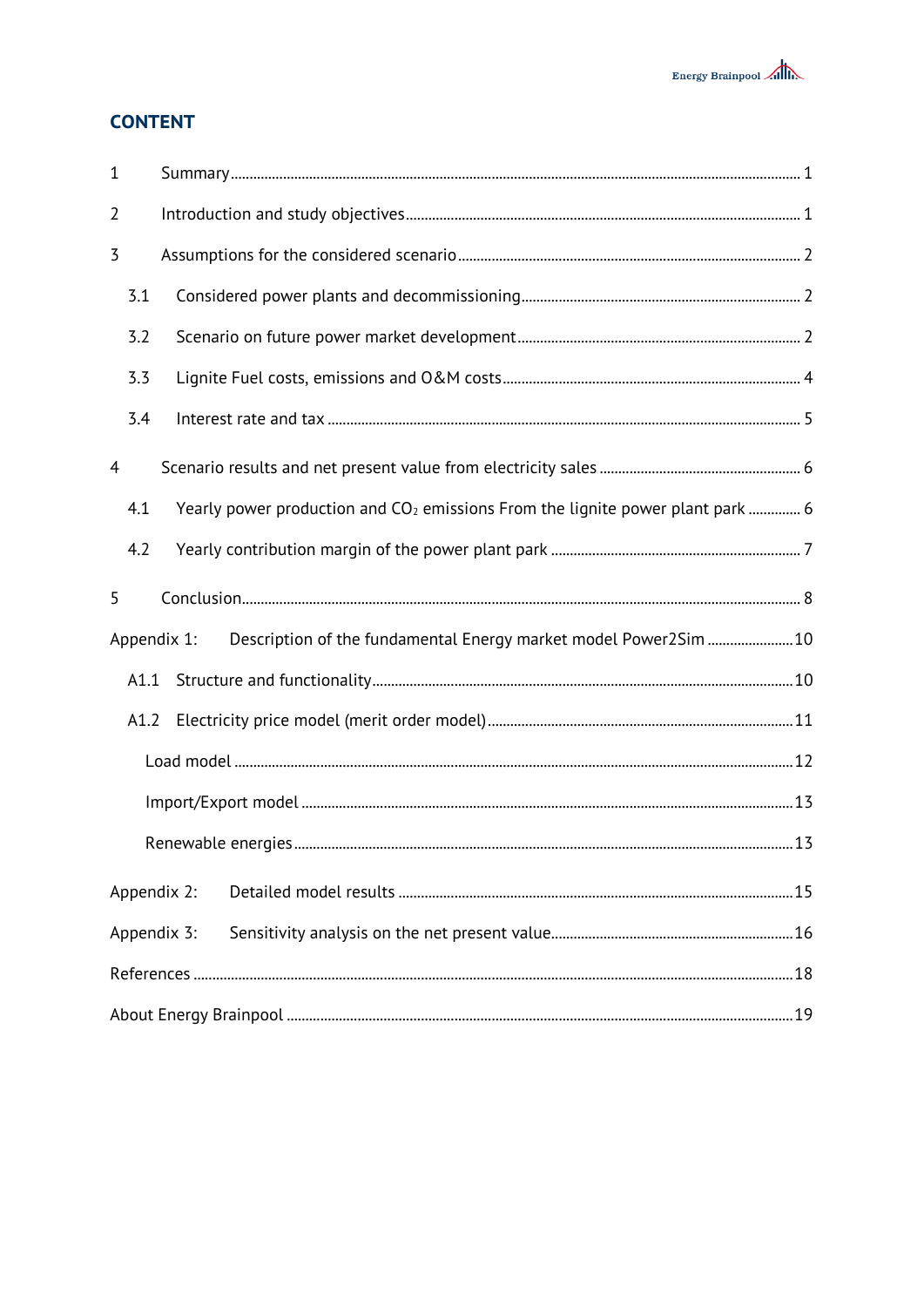## **CONTENT**

| $\mathbf{1}$   |      |                                                                                            |  |  |  |  |  |  |
|----------------|------|--------------------------------------------------------------------------------------------|--|--|--|--|--|--|
| $\overline{2}$ |      |                                                                                            |  |  |  |  |  |  |
| 3              |      |                                                                                            |  |  |  |  |  |  |
|                | 3.1  |                                                                                            |  |  |  |  |  |  |
|                | 3.2  |                                                                                            |  |  |  |  |  |  |
|                | 3.3  |                                                                                            |  |  |  |  |  |  |
|                | 3.4  |                                                                                            |  |  |  |  |  |  |
| 4              |      |                                                                                            |  |  |  |  |  |  |
|                | 4.1  | Yearly power production and CO <sub>2</sub> emissions From the lignite power plant park  6 |  |  |  |  |  |  |
|                | 4.2  |                                                                                            |  |  |  |  |  |  |
| 5              |      |                                                                                            |  |  |  |  |  |  |
|                |      | Description of the fundamental Energy market model Power2Sim  10<br>Appendix 1:            |  |  |  |  |  |  |
|                | A1.1 |                                                                                            |  |  |  |  |  |  |
|                | A1.2 |                                                                                            |  |  |  |  |  |  |
|                |      |                                                                                            |  |  |  |  |  |  |
|                |      |                                                                                            |  |  |  |  |  |  |
|                |      |                                                                                            |  |  |  |  |  |  |
|                |      | Appendix 2:                                                                                |  |  |  |  |  |  |
|                |      | Appendix 3:                                                                                |  |  |  |  |  |  |
|                |      |                                                                                            |  |  |  |  |  |  |
|                |      |                                                                                            |  |  |  |  |  |  |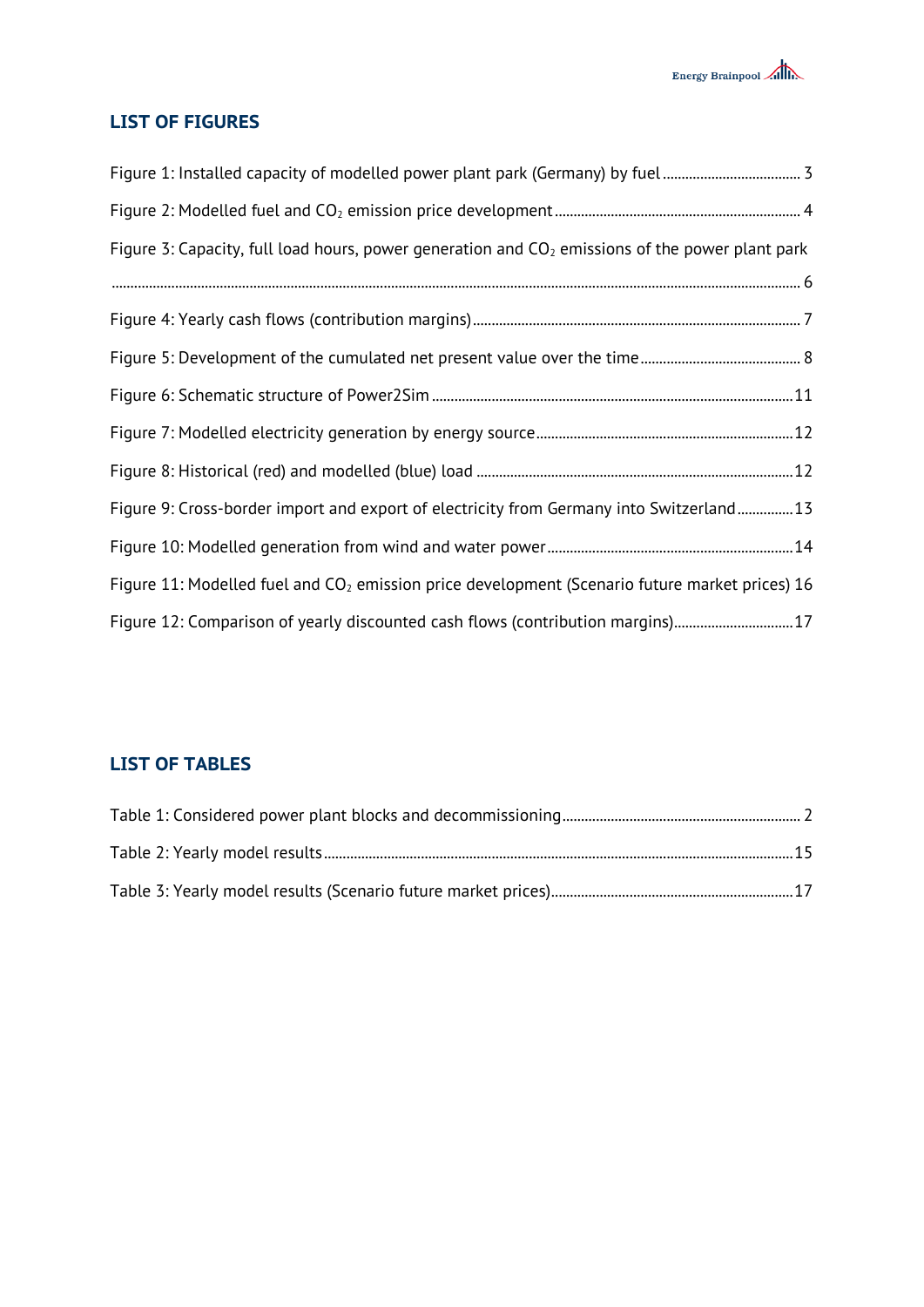## **LIST OF FIGURES**

| Figure 1: Installed capacity of modelled power plant park (Germany) by fuel 3                     |  |
|---------------------------------------------------------------------------------------------------|--|
|                                                                                                   |  |
| Figure 3: Capacity, full load hours, power generation and $CO2$ emissions of the power plant park |  |
|                                                                                                   |  |
|                                                                                                   |  |
|                                                                                                   |  |
|                                                                                                   |  |
|                                                                                                   |  |
|                                                                                                   |  |
| Figure 9: Cross-border import and export of electricity from Germany into Switzerland13           |  |
|                                                                                                   |  |
| Figure 11: Modelled fuel and $CO2$ emission price development (Scenario future market prices) 16  |  |
| Figure 12: Comparison of yearly discounted cash flows (contribution margins)17                    |  |

## **LIST OF TABLES**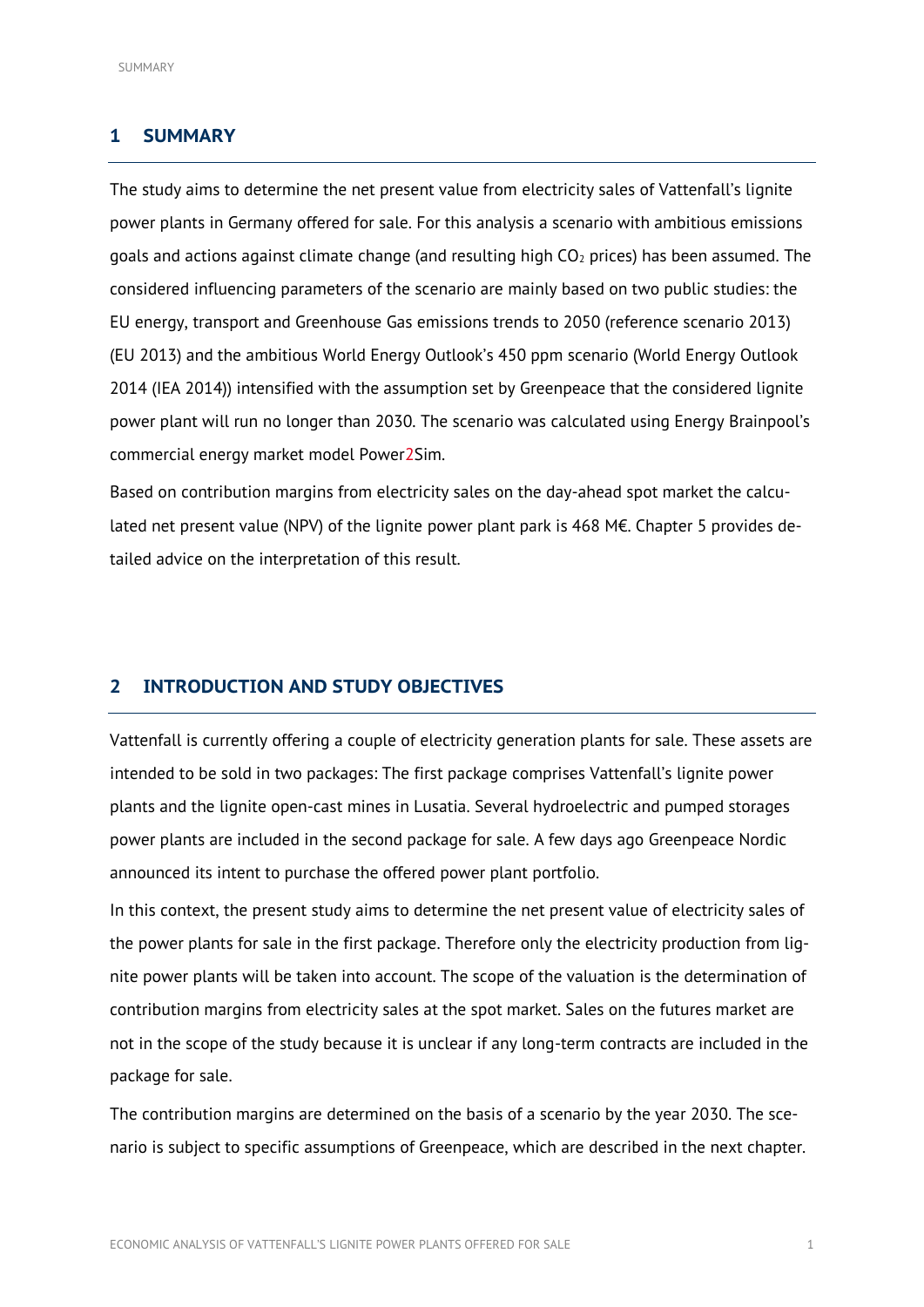## <span id="page-3-0"></span>**1 SUMMARY**

The study aims to determine the net present value from electricity sales of Vattenfall's lignite power plants in Germany offered for sale. For this analysis a scenario with ambitious emissions goals and actions against climate change (and resulting high  $CO<sub>2</sub>$  prices) has been assumed. The considered influencing parameters of the scenario are mainly based on two public studies: the EU energy, transport and Greenhouse Gas emissions trends to 2050 (reference scenario 2013) (EU 2013) and the ambitious World Energy Outlook's 450 ppm scenario (World Energy Outlook 2014 (IEA 2014)) intensified with the assumption set by Greenpeace that the considered lignite power plant will run no longer than 2030. The scenario was calculated using Energy Brainpool's commercial energy market model Power2Sim.

Based on contribution margins from electricity sales on the day-ahead spot market the calculated net present value (NPV) of the lignite power plant park is 468 M $\epsilon$ . Chapter 5 provides detailed advice on the interpretation of this result.

## <span id="page-3-1"></span>**2 INTRODUCTION AND STUDY OBJECTIVES**

Vattenfall is currently offering a couple of electricity generation plants for sale. These assets are intended to be sold in two packages: The first package comprises Vattenfall's lignite power plants and the lignite open-cast mines in Lusatia. Several hydroelectric and pumped storages power plants are included in the second package for sale. A few days ago Greenpeace Nordic announced its intent to purchase the offered power plant portfolio.

In this context, the present study aims to determine the net present value of electricity sales of the power plants for sale in the first package. Therefore only the electricity production from lignite power plants will be taken into account. The scope of the valuation is the determination of contribution margins from electricity sales at the spot market. Sales on the futures market are not in the scope of the study because it is unclear if any long-term contracts are included in the package for sale.

The contribution margins are determined on the basis of a scenario by the year 2030. The scenario is subject to specific assumptions of Greenpeace, which are described in the next chapter.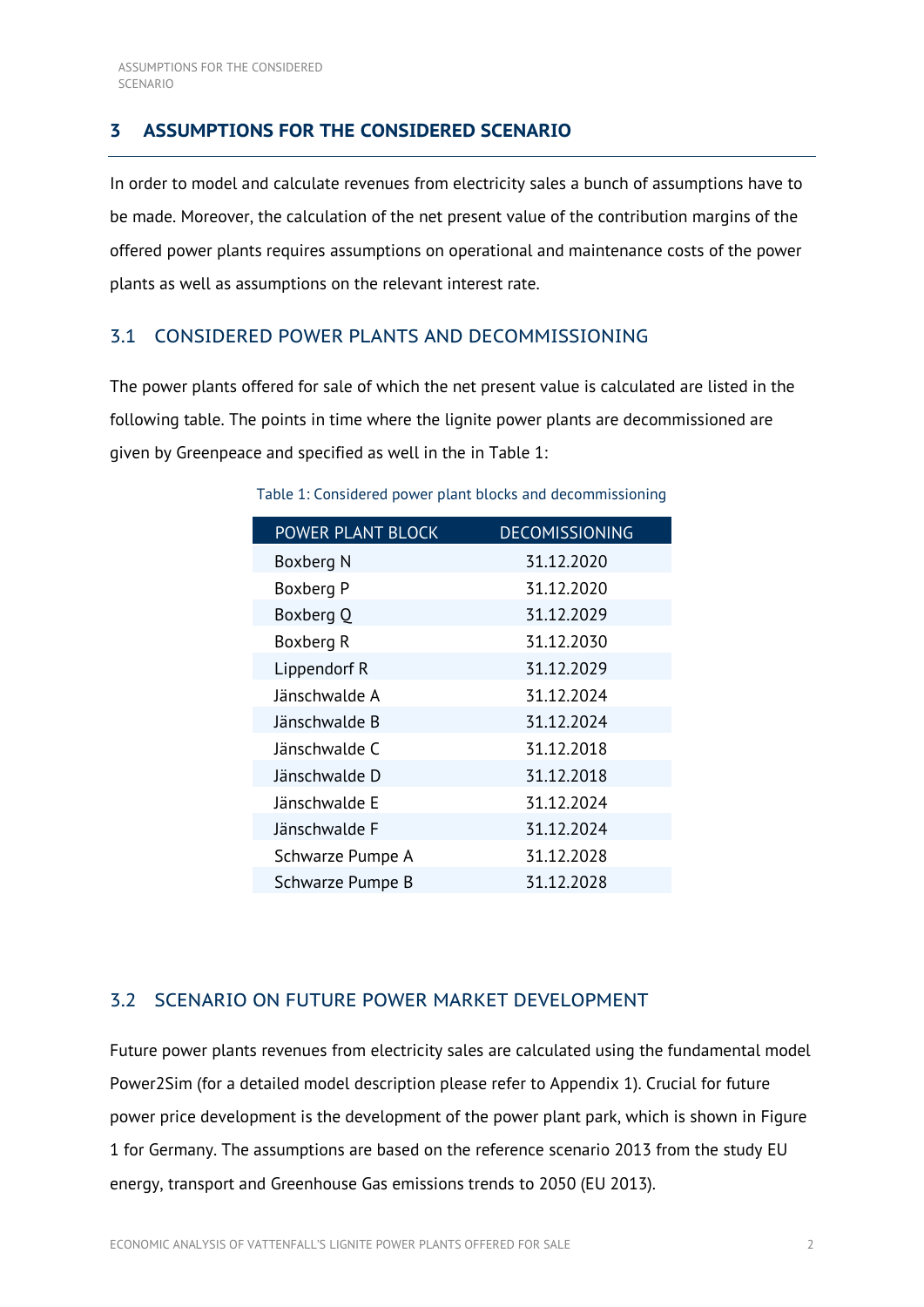## <span id="page-4-0"></span>**3 ASSUMPTIONS FOR THE CONSIDERED SCENARIO**

In order to model and calculate revenues from electricity sales a bunch of assumptions have to be made. Moreover, the calculation of the net present value of the contribution margins of the offered power plants requires assumptions on operational and maintenance costs of the power plants as well as assumptions on the relevant interest rate.

## <span id="page-4-1"></span>3.1 CONSIDERED POWER PLANTS AND DECOMMISSIONING

<span id="page-4-3"></span>The power plants offered for sale of which the net present value is calculated are listed in the following table. The points in time where the lignite power plants are decommissioned are given by Greenpeace and specified as well in the in [Table 1:](#page-4-3)

| <b>POWER PLANT BLOCK</b> | <b>DECOMISSIONING</b> |
|--------------------------|-----------------------|
| Boxberg N                | 31.12.2020            |
| Boxberg P                | 31.12.2020            |
| Boxberg Q                | 31.12.2029            |
| Boxberg R                | 31.12.2030            |
| Lippendorf R             | 31.12.2029            |
| Jänschwalde A            | 31.12.2024            |
| Jänschwalde B            | 31.12.2024            |
| Jänschwalde C            | 31.12.2018            |
| Jänschwalde D            | 31.12.2018            |
| Jänschwalde E            | 31.12.2024            |
| Jänschwalde F            | 31.12.2024            |
| Schwarze Pumpe A         | 31.12.2028            |
| Schwarze Pumpe B         | 31.12.2028            |

Table 1: Considered power plant blocks and decommissioning

## <span id="page-4-2"></span>3.2 SCENARIO ON FUTURE POWER MARKET DEVELOPMENT

Future power plants revenues from electricity sales are calculated using the fundamental model Power2Sim (for a detailed model description please refer to Appendix 1). Crucial for future power price development is the development of the power plant park, which is shown in [Figure](#page-5-0)  [1](#page-5-0) for Germany. The assumptions are based on the reference scenario 2013 from the study EU energy, transport and Greenhouse Gas emissions trends to 2050 (EU 2013).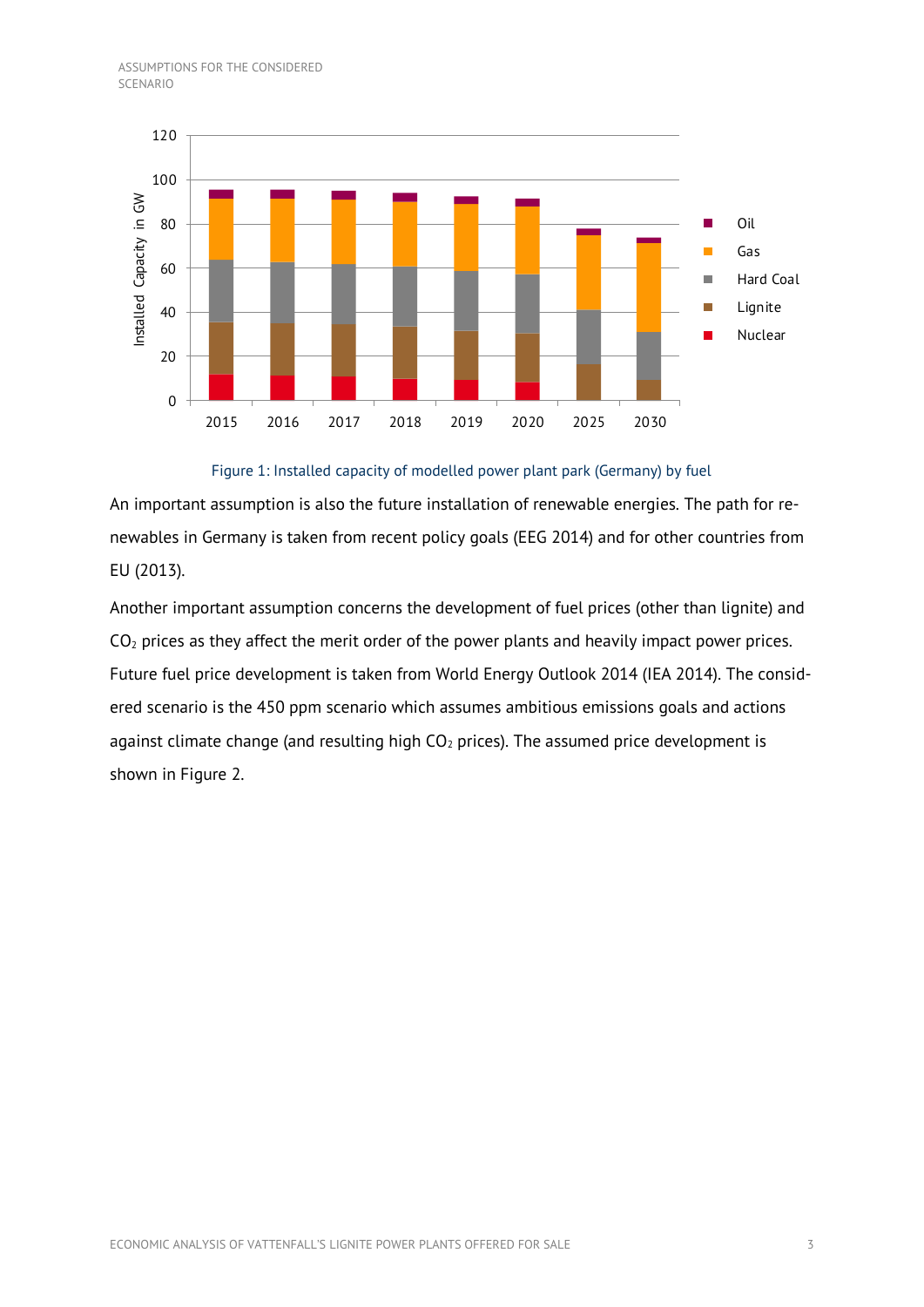

Figure 1: Installed capacity of modelled power plant park (Germany) by fuel

<span id="page-5-0"></span>An important assumption is also the future installation of renewable energies. The path for renewables in Germany is taken from recent policy goals (EEG 2014) and for other countries from EU (2013).

Another important assumption concerns the development of fuel prices (other than lignite) and  $CO<sub>2</sub>$  prices as they affect the merit order of the power plants and heavily impact power prices. Future fuel price development is taken from World Energy Outlook 2014 (IEA 2014). The considered scenario is the 450 ppm scenario which assumes ambitious emissions goals and actions against climate change (and resulting high  $CO<sub>2</sub>$  prices). The assumed price development is shown in [Figure 2.](#page-6-1)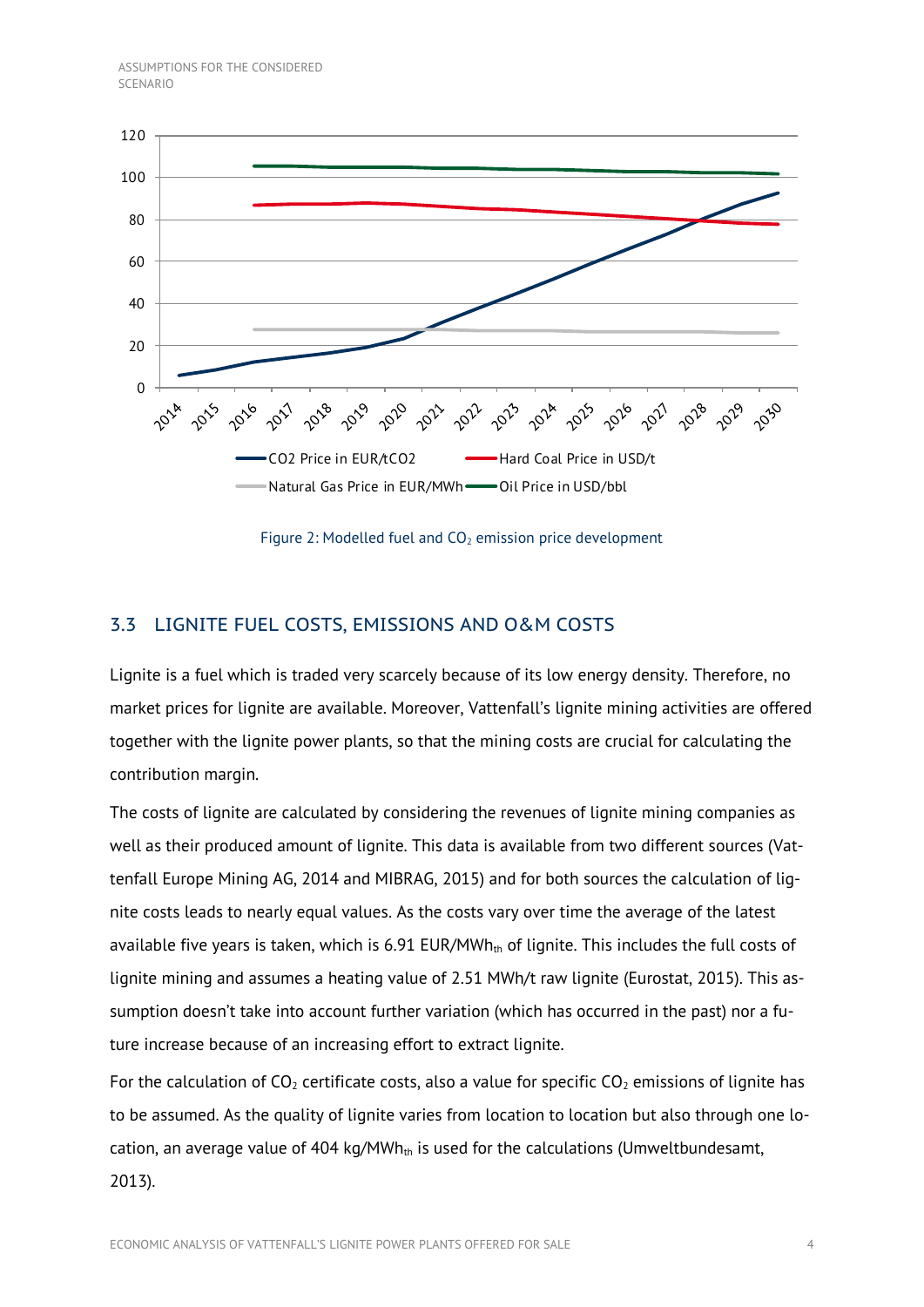

Figure 2: Modelled fuel and  $CO<sub>2</sub>$  emission price development

## <span id="page-6-1"></span><span id="page-6-0"></span>3.3 LIGNITE FUEL COSTS, EMISSIONS AND O&M COSTS

Lignite is a fuel which is traded very scarcely because of its low energy density. Therefore, no market prices for lignite are available. Moreover, Vattenfall's lignite mining activities are offered together with the lignite power plants, so that the mining costs are crucial for calculating the contribution margin.

The costs of lignite are calculated by considering the revenues of lignite mining companies as well as their produced amount of lignite. This data is available from two different sources (Vattenfall Europe Mining AG, 2014 and MIBRAG, 2015) and for both sources the calculation of lignite costs leads to nearly equal values. As the costs vary over time the average of the latest available five years is taken, which is 6.91 EUR/MWh $<sub>th</sub>$  of lignite. This includes the full costs of</sub> lignite mining and assumes a heating value of 2.51 MWh/t raw lignite (Eurostat, 2015). This assumption doesn't take into account further variation (which has occurred in the past) nor a future increase because of an increasing effort to extract lignite.

For the calculation of  $CO<sub>2</sub>$  certificate costs, also a value for specific  $CO<sub>2</sub>$  emissions of lignite has to be assumed. As the quality of lignite varies from location to location but also through one location, an average value of 404 kg/MWh<sub>th</sub> is used for the calculations (Umweltbundesamt, 2013).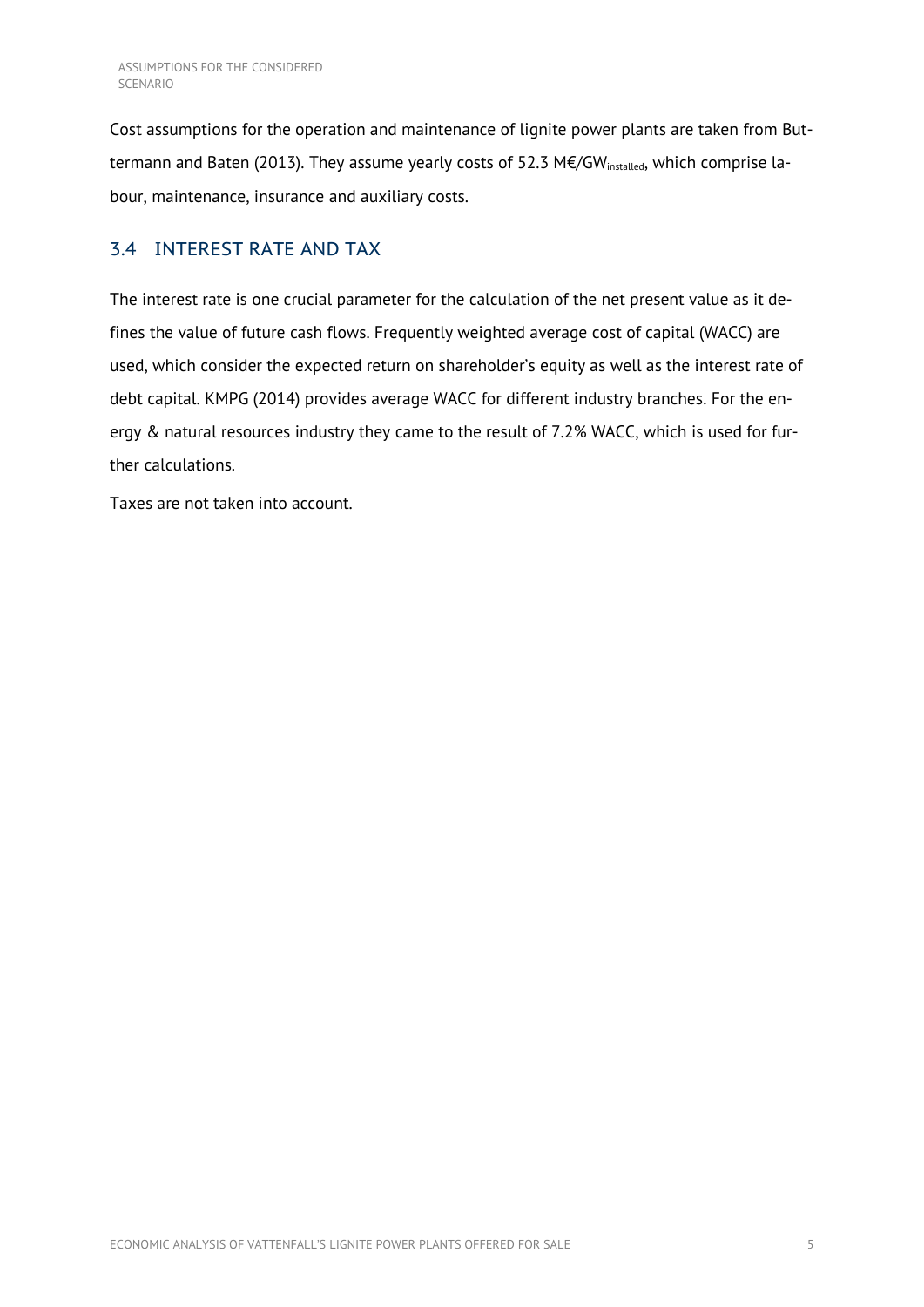Cost assumptions for the operation and maintenance of lignite power plants are taken from Buttermann and Baten (2013). They assume yearly costs of 52.3 M€/GW<sub>installed</sub>, which comprise labour, maintenance, insurance and auxiliary costs.

## <span id="page-7-0"></span>3.4 INTEREST RATE AND TAX

The interest rate is one crucial parameter for the calculation of the net present value as it defines the value of future cash flows. Frequently weighted average cost of capital (WACC) are used, which consider the expected return on shareholder's equity as well as the interest rate of debt capital. KMPG (2014) provides average WACC for different industry branches. For the energy & natural resources industry they came to the result of 7.2% WACC, which is used for further calculations.

Taxes are not taken into account.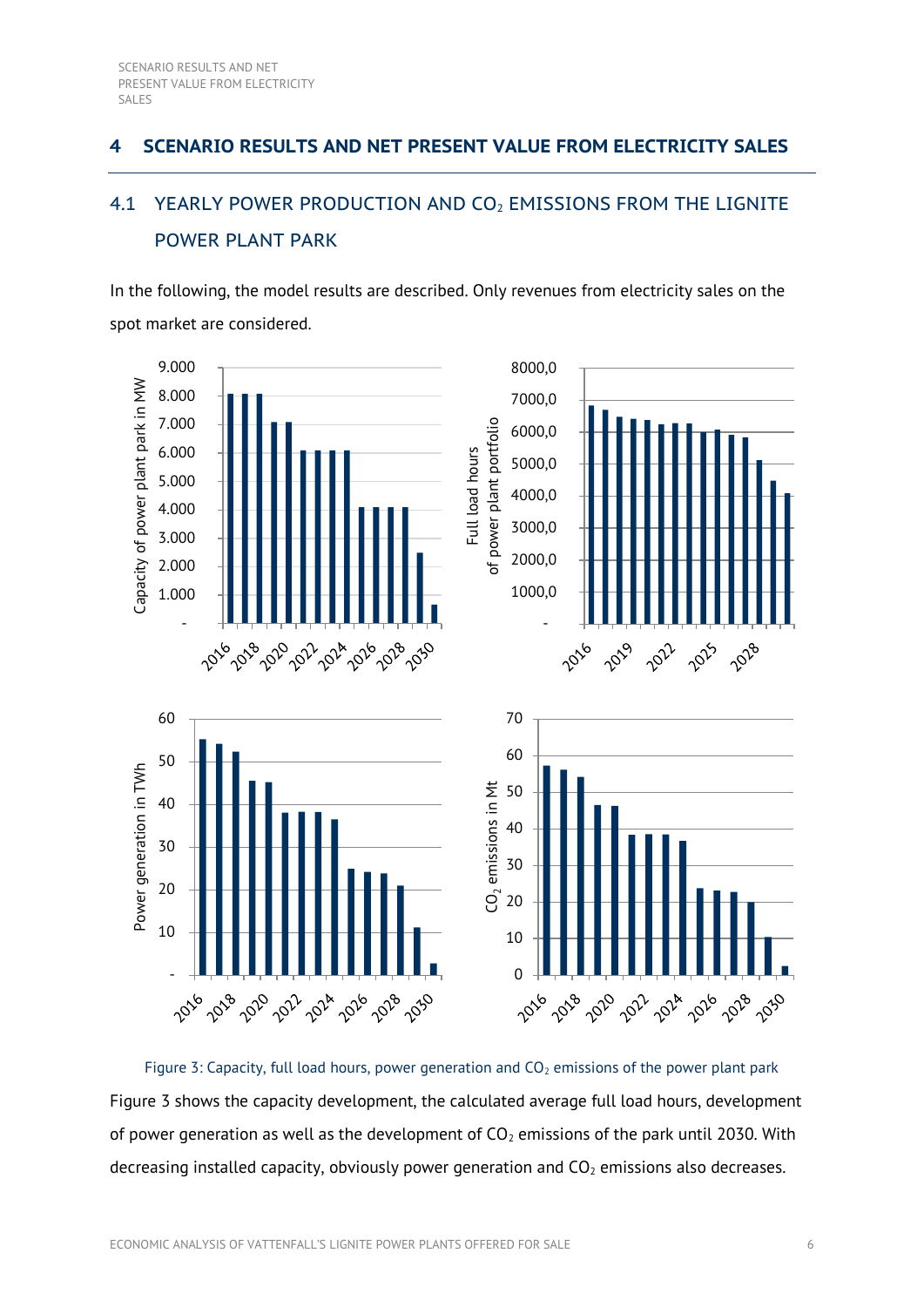## <span id="page-8-0"></span>**4 SCENARIO RESULTS AND NET PRESENT VALUE FROM ELECTRICITY SALES**

## <span id="page-8-1"></span>4.1 YEARLY POWER PRODUCTION AND CO<sub>2</sub> EMISSIONS FROM THE LIGNITE POWER PLANT PARK

In the following, the model results are described. Only revenues from electricity sales on the spot market are considered.



<span id="page-8-2"></span>Figure 3: Capacity, full load hours, power generation and  $CO<sub>2</sub>$  emissions of the power plant park [Figure 3](#page-8-2) shows the capacity development, the calculated average full load hours, development of power generation as well as the development of  $CO<sub>2</sub>$  emissions of the park until 2030. With decreasing installed capacity, obviously power generation and  $CO<sub>2</sub>$  emissions also decreases.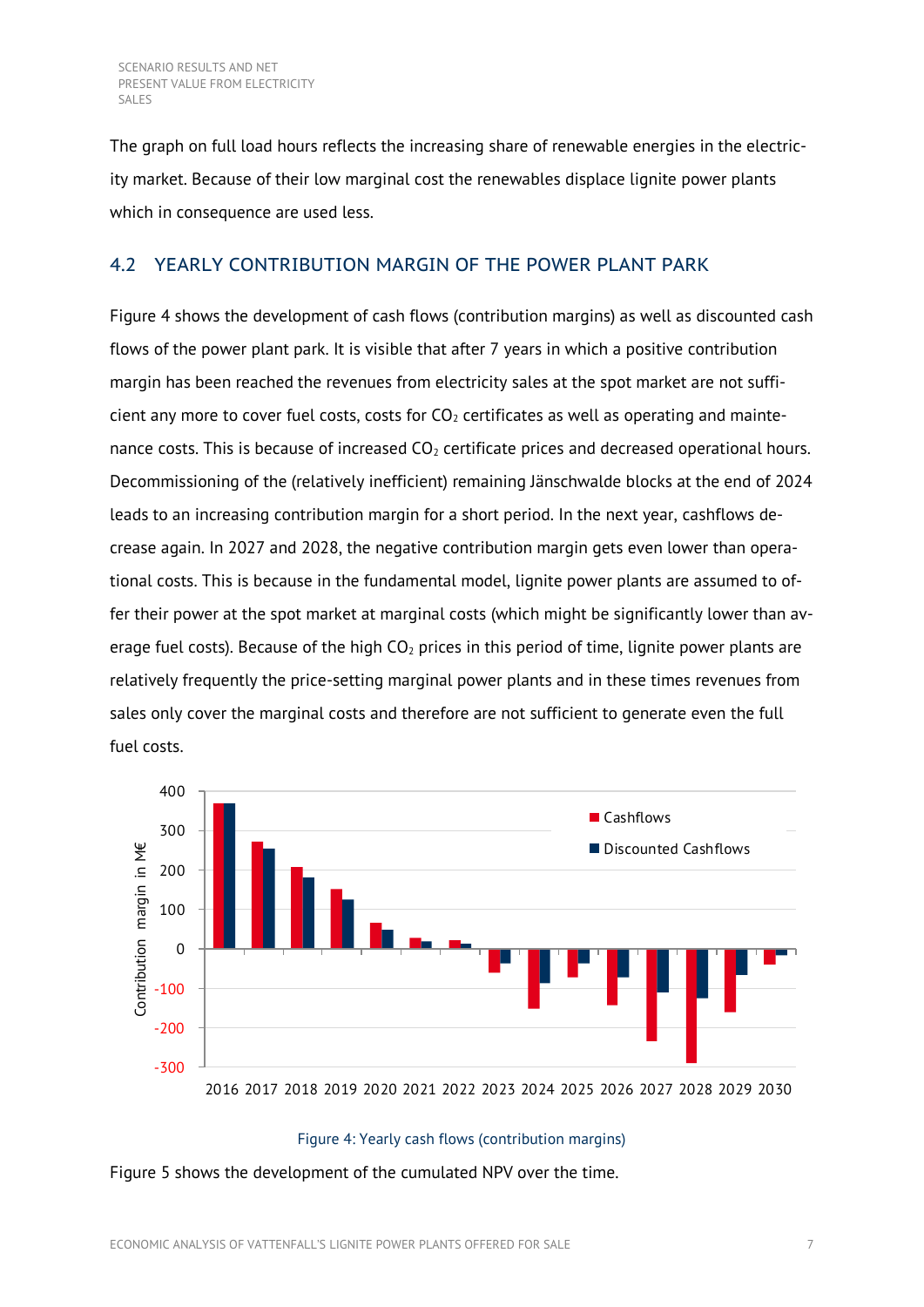The graph on full load hours reflects the increasing share of renewable energies in the electricity market. Because of their low marginal cost the renewables displace lignite power plants which in consequence are used less.

## <span id="page-9-0"></span>4.2 YEARLY CONTRIBUTION MARGIN OF THE POWER PLANT PARK

[Figure 4](#page-9-1) shows the development of cash flows (contribution margins) as well as discounted cash flows of the power plant park. It is visible that after 7 years in which a positive contribution margin has been reached the revenues from electricity sales at the spot market are not sufficient any more to cover fuel costs, costs for  $CO<sub>2</sub>$  certificates as well as operating and maintenance costs. This is because of increased  $CO<sub>2</sub>$  certificate prices and decreased operational hours. Decommissioning of the (relatively inefficient) remaining Jänschwalde blocks at the end of 2024 leads to an increasing contribution margin for a short period. In the next year, cashflows decrease again. In 2027 and 2028, the negative contribution margin gets even lower than operational costs. This is because in the fundamental model, lignite power plants are assumed to offer their power at the spot market at marginal costs (which might be significantly lower than average fuel costs). Because of the high  $CO<sub>2</sub>$  prices in this period of time, lignite power plants are relatively frequently the price-setting marginal power plants and in these times revenues from sales only cover the marginal costs and therefore are not sufficient to generate even the full fuel costs.



### Figure 4: Yearly cash flows (contribution margins)

<span id="page-9-1"></span>[Figure 5](#page-10-1) shows the development of the cumulated NPV over the time.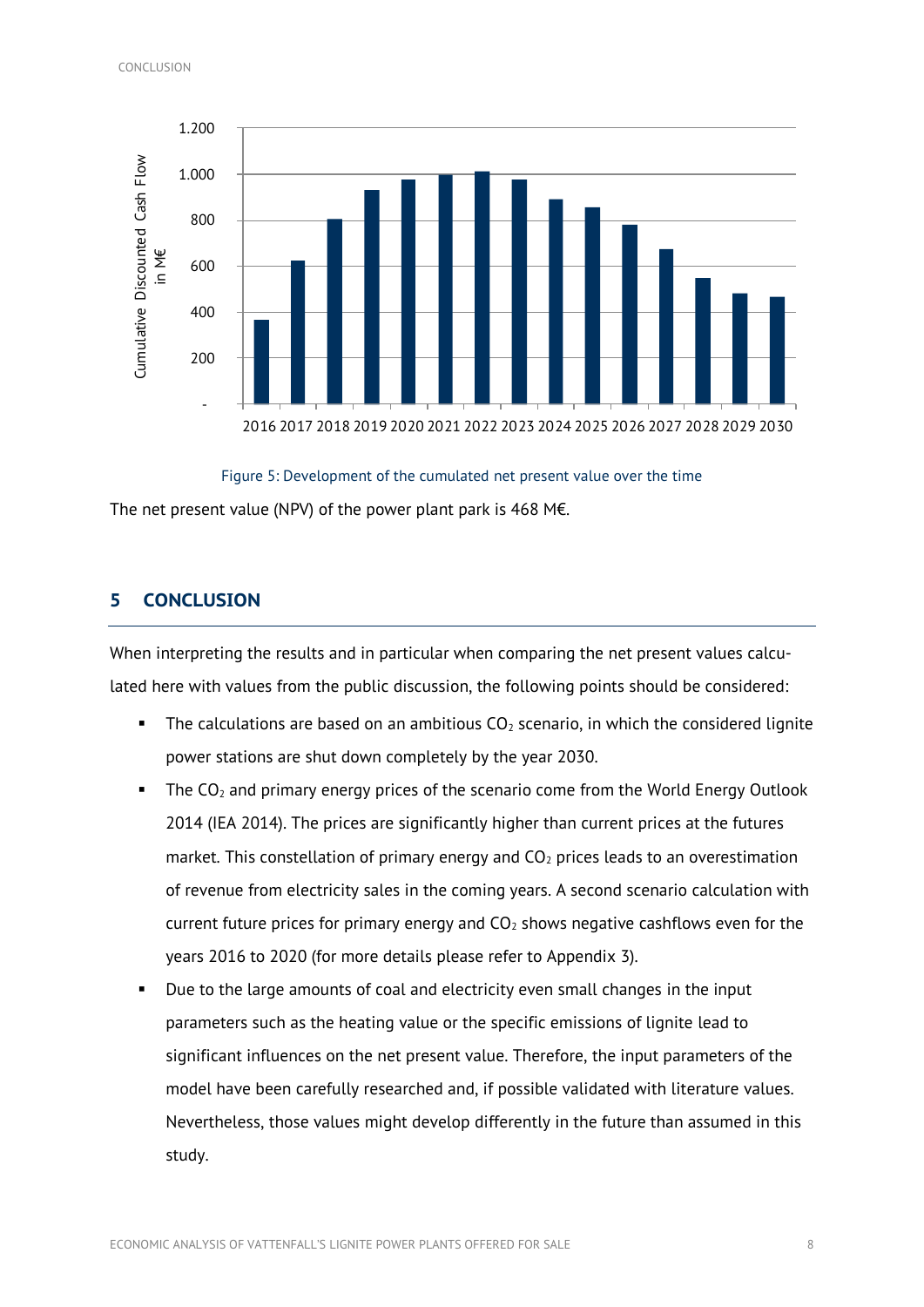

Figure 5: Development of the cumulated net present value over the time

<span id="page-10-1"></span>The net present value (NPV) of the power plant park is 468 M€.

## <span id="page-10-0"></span>**5 CONCLUSION**

When interpreting the results and in particular when comparing the net present values calculated here with values from the public discussion, the following points should be considered:

- The calculations are based on an ambitious  $CO<sub>2</sub>$  scenario, in which the considered lignite power stations are shut down completely by the year 2030.
- The  $CO<sub>2</sub>$  and primary energy prices of the scenario come from the World Energy Outlook 2014 (IEA 2014). The prices are significantly higher than current prices at the futures market. This constellation of primary energy and  $CO<sub>2</sub>$  prices leads to an overestimation of revenue from electricity sales in the coming years. A second scenario calculation with current future prices for primary energy and  $CO<sub>2</sub>$  shows negative cashflows even for the years 2016 to 2020 (for more details please refer to Appendix 3).
- Due to the large amounts of coal and electricity even small changes in the input parameters such as the heating value or the specific emissions of lignite lead to significant influences on the net present value. Therefore, the input parameters of the model have been carefully researched and, if possible validated with literature values. Nevertheless, those values might develop differently in the future than assumed in this study.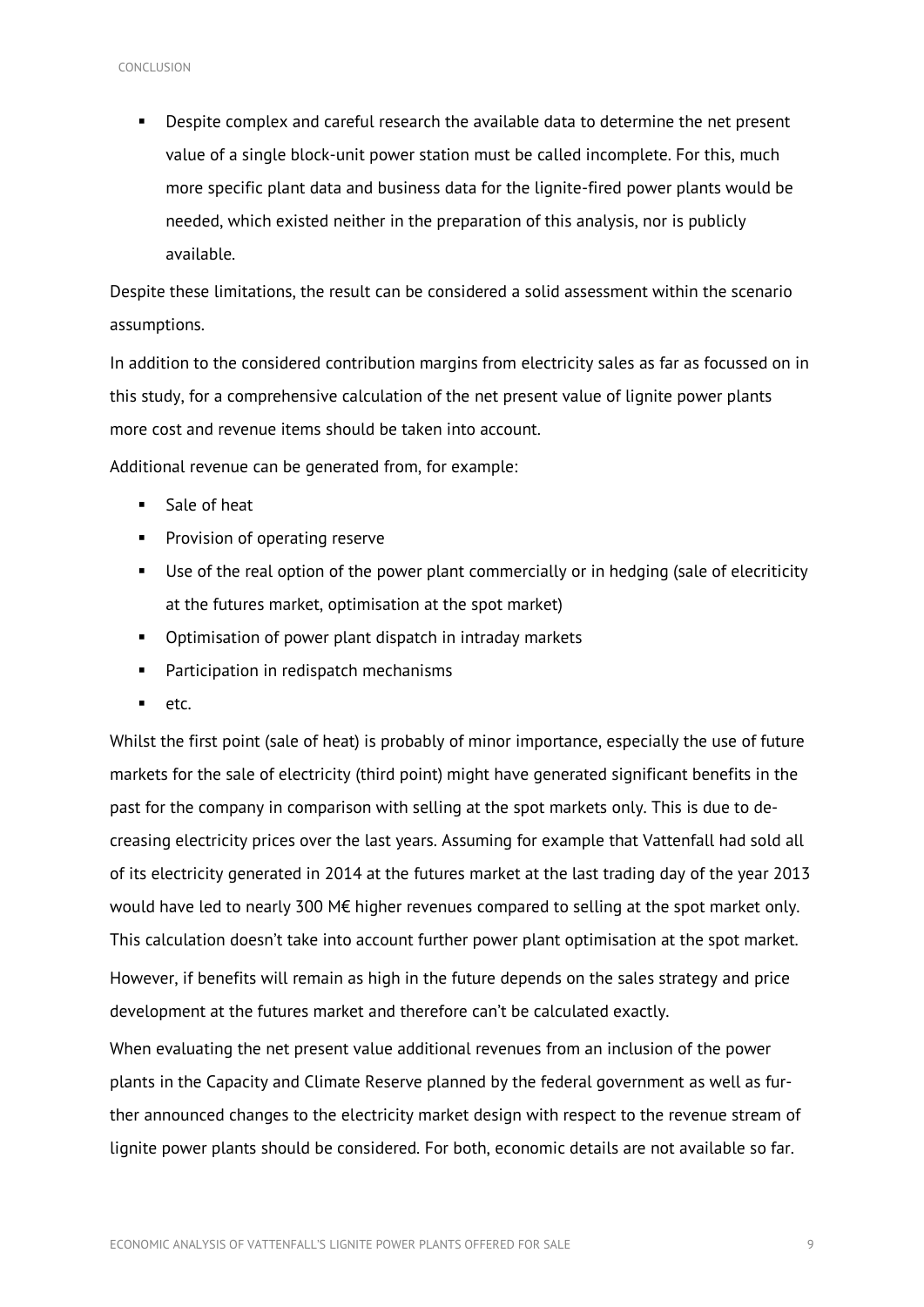Despite complex and careful research the available data to determine the net present value of a single block-unit power station must be called incomplete. For this, much more specific plant data and business data for the lignite-fired power plants would be needed, which existed neither in the preparation of this analysis, nor is publicly available.

Despite these limitations, the result can be considered a solid assessment within the scenario assumptions.

In addition to the considered contribution margins from electricity sales as far as focussed on in this study, for a comprehensive calculation of the net present value of lignite power plants more cost and revenue items should be taken into account.

Additional revenue can be generated from, for example:

- **Sale of heat**
- **Provision of operating reserve**
- Use of the real option of the power plant commercially or in hedging (sale of elecriticity at the futures market, optimisation at the spot market)
- **•** Optimisation of power plant dispatch in intraday markets
- **Participation in redispatch mechanisms**
- $etc.$

Whilst the first point (sale of heat) is probably of minor importance, especially the use of future markets for the sale of electricity (third point) might have generated significant benefits in the past for the company in comparison with selling at the spot markets only. This is due to decreasing electricity prices over the last years. Assuming for example that Vattenfall had sold all of its electricity generated in 2014 at the futures market at the last trading day of the year 2013 would have led to nearly 300 M€ higher revenues compared to selling at the spot market only. This calculation doesn't take into account further power plant optimisation at the spot market. However, if benefits will remain as high in the future depends on the sales strategy and price development at the futures market and therefore can't be calculated exactly.

When evaluating the net present value additional revenues from an inclusion of the power plants in the Capacity and Climate Reserve planned by the federal government as well as further announced changes to the electricity market design with respect to the revenue stream of lignite power plants should be considered. For both, economic details are not available so far.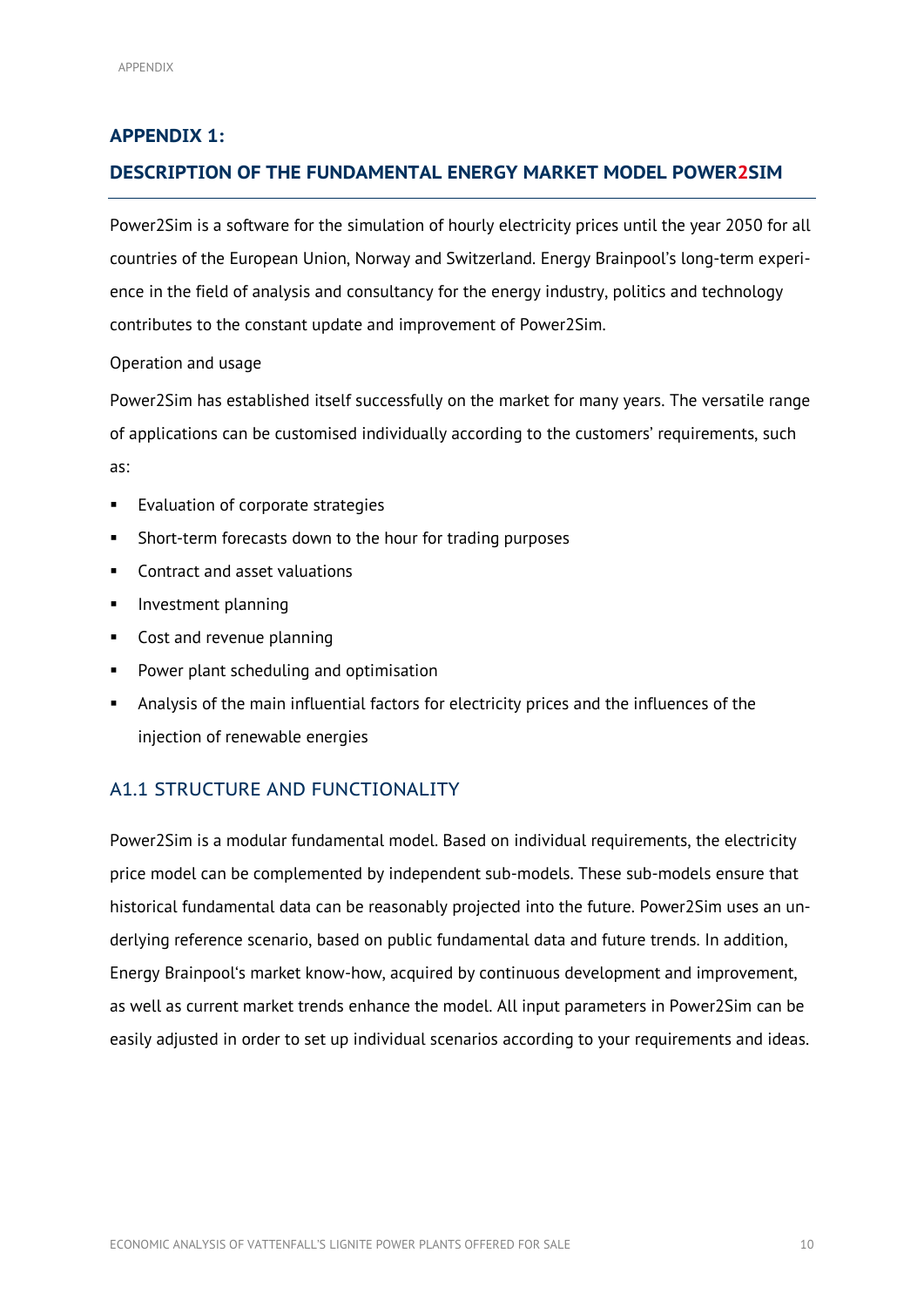## **APPENDIX 1:**

## <span id="page-12-0"></span>**DESCRIPTION OF THE FUNDAMENTAL ENERGY MARKET MODEL POWER2SIM**

Power2Sim is a software for the simulation of hourly electricity prices until the year 2050 for all countries of the European Union, Norway and Switzerland. Energy Brainpool's long-term experience in the field of analysis and consultancy for the energy industry, politics and technology contributes to the constant update and improvement of Power2Sim.

#### Operation and usage

Power2Sim has established itself successfully on the market for many years. The versatile range of applications can be customised individually according to the customers' requirements, such as:

- **Evaluation of corporate strategies**
- Short-term forecasts down to the hour for trading purposes
- **Contract and asset valuations**
- **Investment planning**
- Cost and revenue planning
- **Power plant scheduling and optimisation**
- Analysis of the main influential factors for electricity prices and the influences of the injection of renewable energies

## <span id="page-12-1"></span>A1.1 STRUCTURE AND FUNCTIONALITY

Power2Sim is a modular fundamental model. Based on individual requirements, the electricity price model can be complemented by independent sub-models. These sub-models ensure that historical fundamental data can be reasonably projected into the future. Power2Sim uses an underlying reference scenario, based on public fundamental data and future trends. In addition, Energy Brainpool's market know-how, acquired by continuous development and improvement, as well as current market trends enhance the model. All input parameters in Power2Sim can be easily adjusted in order to set up individual scenarios according to your requirements and ideas.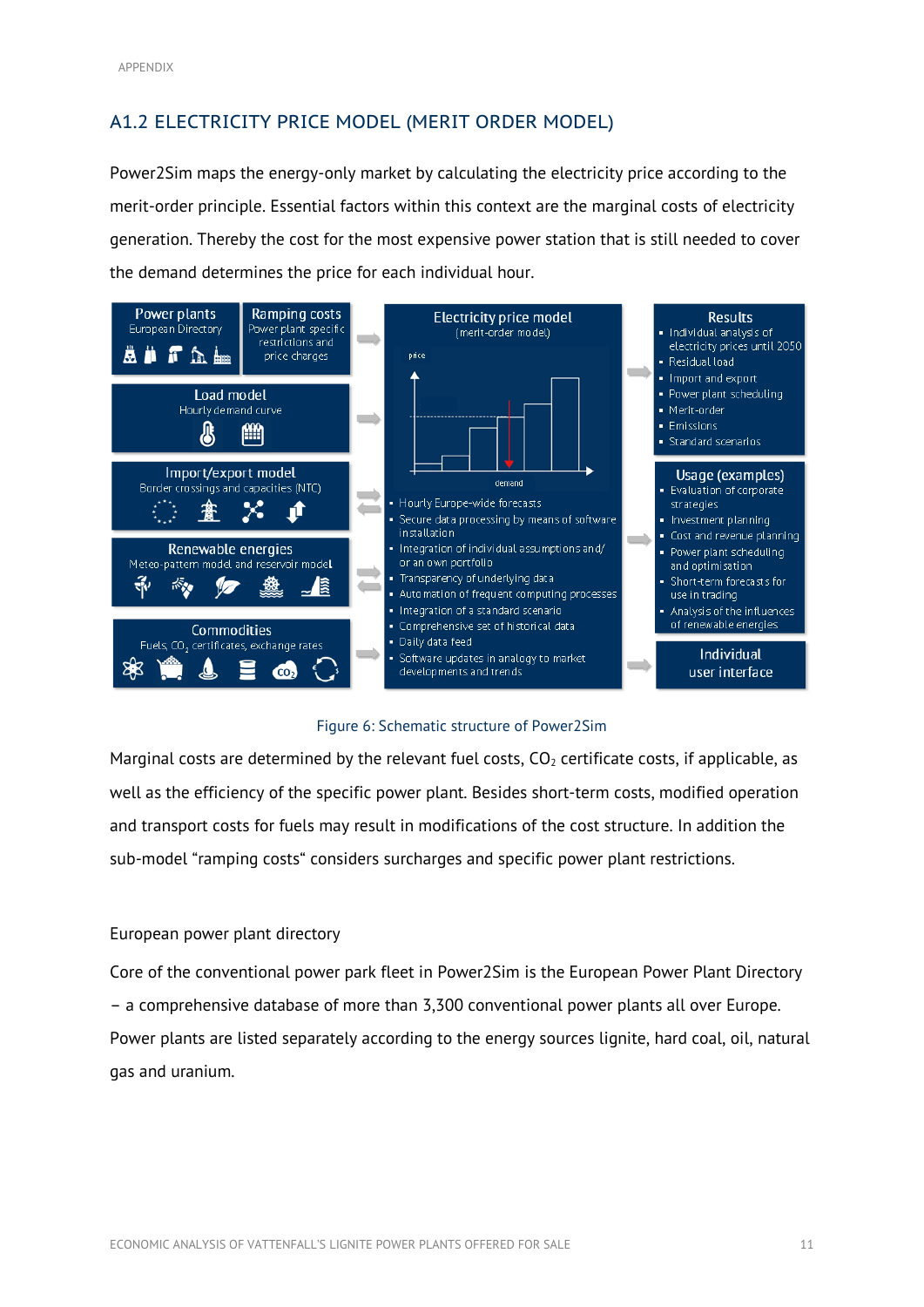## <span id="page-13-0"></span>A1.2 ELECTRICITY PRICE MODEL (MERIT ORDER MODEL)

Power2Sim maps the energy-only market by calculating the electricity price according to the merit-order principle. Essential factors within this context are the marginal costs of electricity generation. Thereby the cost for the most expensive power station that is still needed to cover the demand determines the price for each individual hour.



#### Figure 6: Schematic structure of Power2Sim

<span id="page-13-1"></span>Marginal costs are determined by the relevant fuel costs,  $CO<sub>2</sub>$  certificate costs, if applicable, as well as the efficiency of the specific power plant. Besides short-term costs, modified operation and transport costs for fuels may result in modifications of the cost structure. In addition the sub-model "ramping costs" considers surcharges and specific power plant restrictions.

### European power plant directory

Core of the conventional power park fleet in Power2Sim is the European Power Plant Directory – a comprehensive database of more than 3,300 conventional power plants all over Europe. Power plants are listed separately according to the energy sources lignite, hard coal, oil, natural gas and uranium.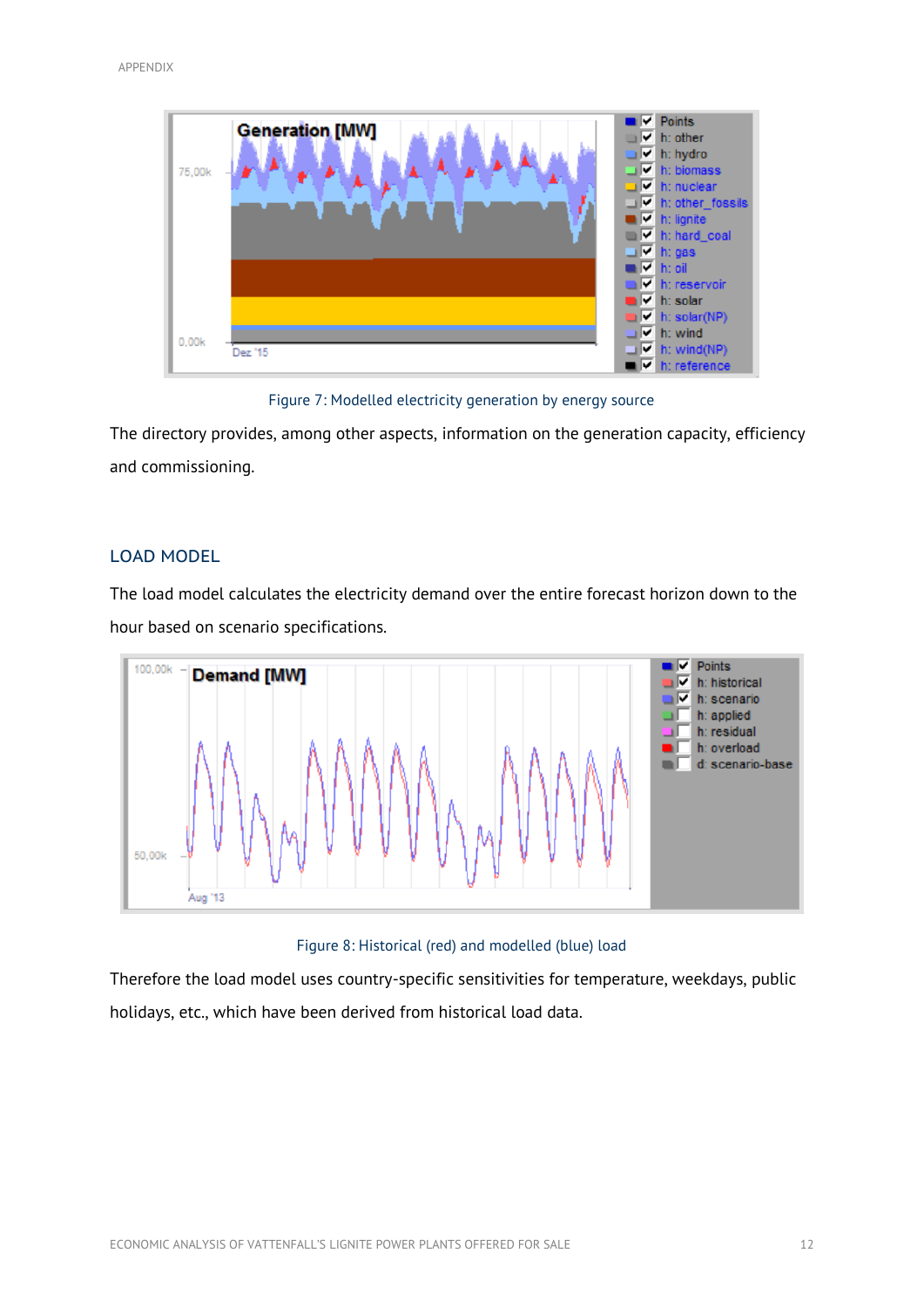

Figure 7: Modelled electricity generation by energy source

<span id="page-14-1"></span>The directory provides, among other aspects, information on the generation capacity, efficiency and commissioning.

### <span id="page-14-0"></span>LOAD MODEL

The load model calculates the electricity demand over the entire forecast horizon down to the hour based on scenario specifications.



Figure 8: Historical (red) and modelled (blue) load

<span id="page-14-2"></span>Therefore the load model uses country-specific sensitivities for temperature, weekdays, public holidays, etc., which have been derived from historical load data.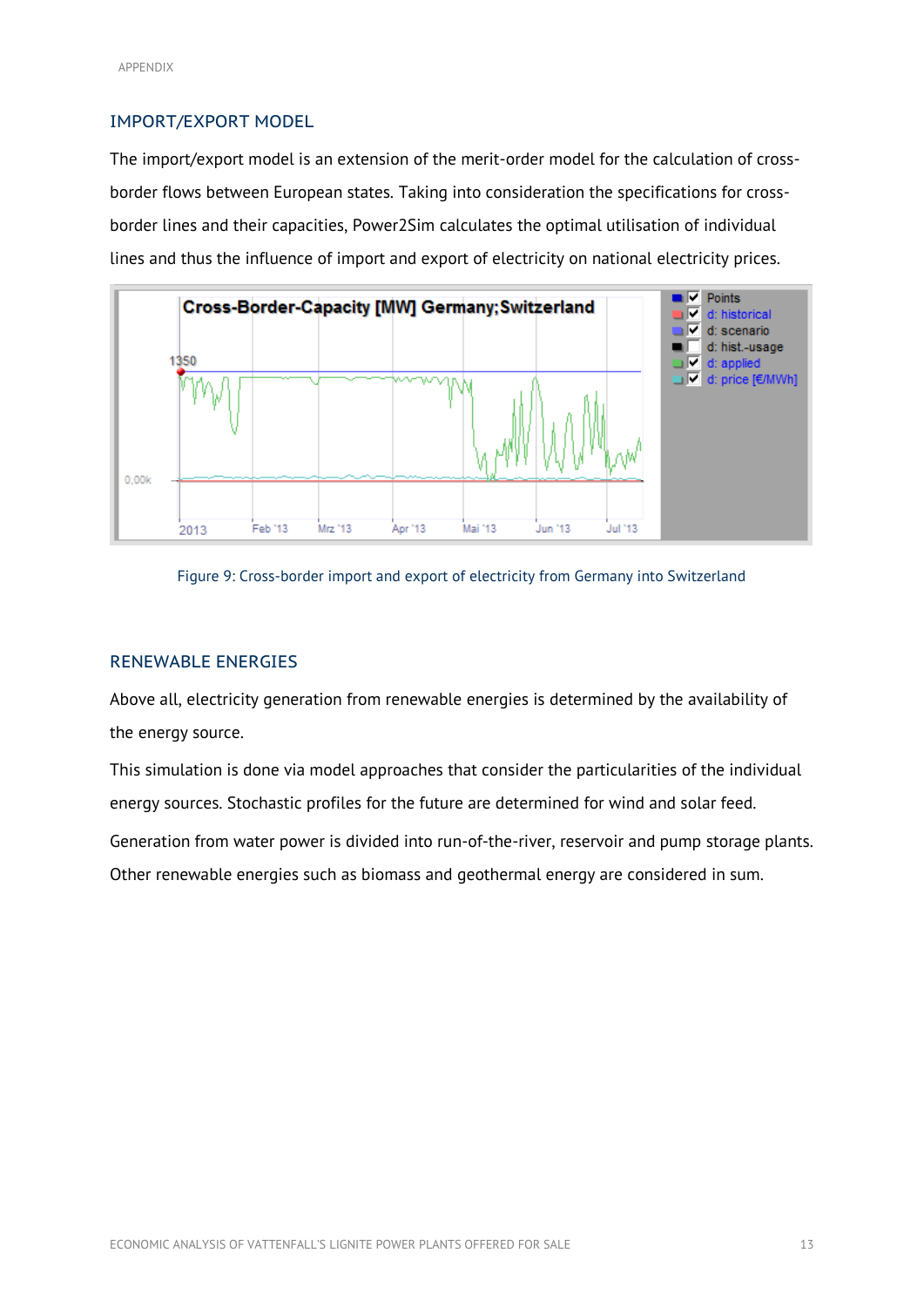#### <span id="page-15-0"></span>IMPORT/EXPORT MODEL

The import/export model is an extension of the merit-order model for the calculation of crossborder flows between European states. Taking into consideration the specifications for crossborder lines and their capacities, Power2Sim calculates the optimal utilisation of individual lines and thus the influence of import and export of electricity on national electricity prices.



<span id="page-15-2"></span>

### <span id="page-15-1"></span>RENEWABLE ENERGIES

Above all, electricity generation from renewable energies is determined by the availability of the energy source.

This simulation is done via model approaches that consider the particularities of the individual energy sources. Stochastic profiles for the future are determined for wind and solar feed.

Generation from water power is divided into run-of-the-river, reservoir and pump storage plants. Other renewable energies such as biomass and geothermal energy are considered in sum.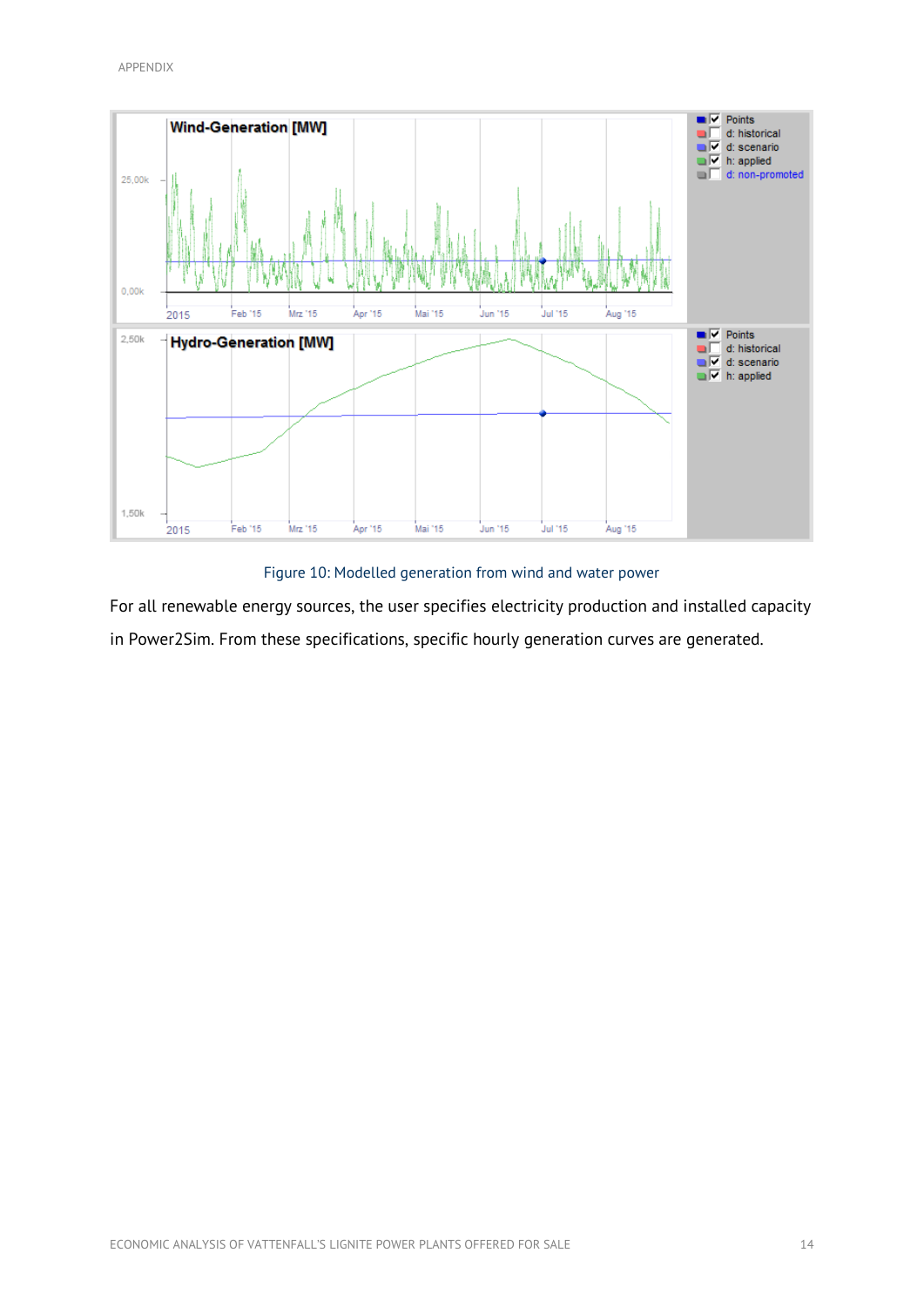

Figure 10: Modelled generation from wind and water power

<span id="page-16-0"></span>For all renewable energy sources, the user specifies electricity production and installed capacity in Power2Sim. From these specifications, specific hourly generation curves are generated.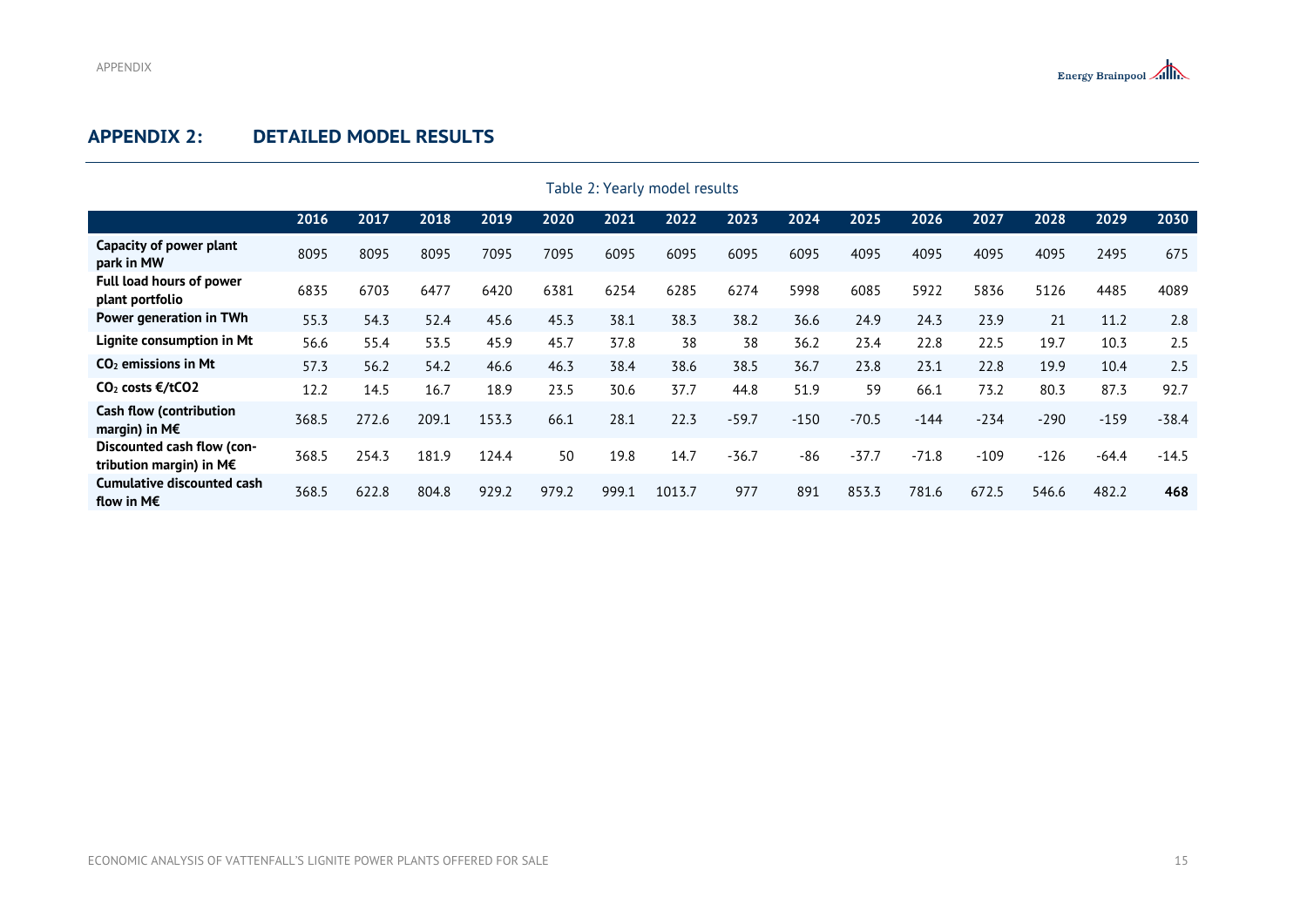## **APPENDIX 2: DETAILED MODEL RESULTS**

<span id="page-17-1"></span><span id="page-17-0"></span>

| Table 2: Yearly model results                              |       |       |       |       |       |       |        |         |        |         |         |        |        |         |         |
|------------------------------------------------------------|-------|-------|-------|-------|-------|-------|--------|---------|--------|---------|---------|--------|--------|---------|---------|
|                                                            | 2016  | 2017  | 2018  | 2019  | 2020  | 2021  | 2022   | 2023    | 2024   | 2025    | 2026    | 2027   | 2028   | 2029    | 2030    |
| Capacity of power plant<br>park in MW                      | 8095  | 8095  | 8095  | 7095  | 7095  | 6095  | 6095   | 6095    | 6095   | 4095    | 4095    | 4095   | 4095   | 2495    | 675     |
| <b>Full load hours of power</b><br>plant portfolio         | 6835  | 6703  | 6477  | 6420  | 6381  | 6254  | 6285   | 6274    | 5998   | 6085    | 5922    | 5836   | 5126   | 4485    | 4089    |
| Power generation in TWh                                    | 55.3  | 54.3  | 52.4  | 45.6  | 45.3  | 38.1  | 38.3   | 38.2    | 36.6   | 24.9    | 24.3    | 23.9   | 21     | 11.2    | 2.8     |
| Lignite consumption in Mt                                  | 56.6  | 55.4  | 53.5  | 45.9  | 45.7  | 37.8  | 38     | 38      | 36.2   | 23.4    | 22.8    | 22.5   | 19.7   | 10.3    | 2.5     |
| $CO2$ emissions in Mt                                      | 57.3  | 56.2  | 54.2  | 46.6  | 46.3  | 38.4  | 38.6   | 38.5    | 36.7   | 23.8    | 23.1    | 22.8   | 19.9   | 10.4    | 2.5     |
| $CO2 \text{ costs } \epsilon/tCO2$                         | 12.2  | 14.5  | 16.7  | 18.9  | 23.5  | 30.6  | 37.7   | 44.8    | 51.9   | 59      | 66.1    | 73.2   | 80.3   | 87.3    | 92.7    |
| <b>Cash flow (contribution</b><br>margin) in $M \in$       | 368.5 | 272.6 | 209.1 | 153.3 | 66.1  | 28.1  | 22.3   | $-59.7$ | $-150$ | $-70.5$ | $-144$  | $-234$ | $-290$ | $-159$  | $-38.4$ |
| Discounted cash flow (con-<br>tribution margin) in $M \in$ | 368.5 | 254.3 | 181.9 | 124.4 | 50    | 19.8  | 14.7   | $-36.7$ | $-86$  | $-37.7$ | $-71.8$ | $-109$ | $-126$ | $-64.4$ | $-14.5$ |
| Cumulative discounted cash<br>flow in M $\epsilon$         | 368.5 | 622.8 | 804.8 | 929.2 | 979.2 | 999.1 | 1013.7 | 977     | 891    | 853.3   | 781.6   | 672.5  | 546.6  | 482.2   | 468     |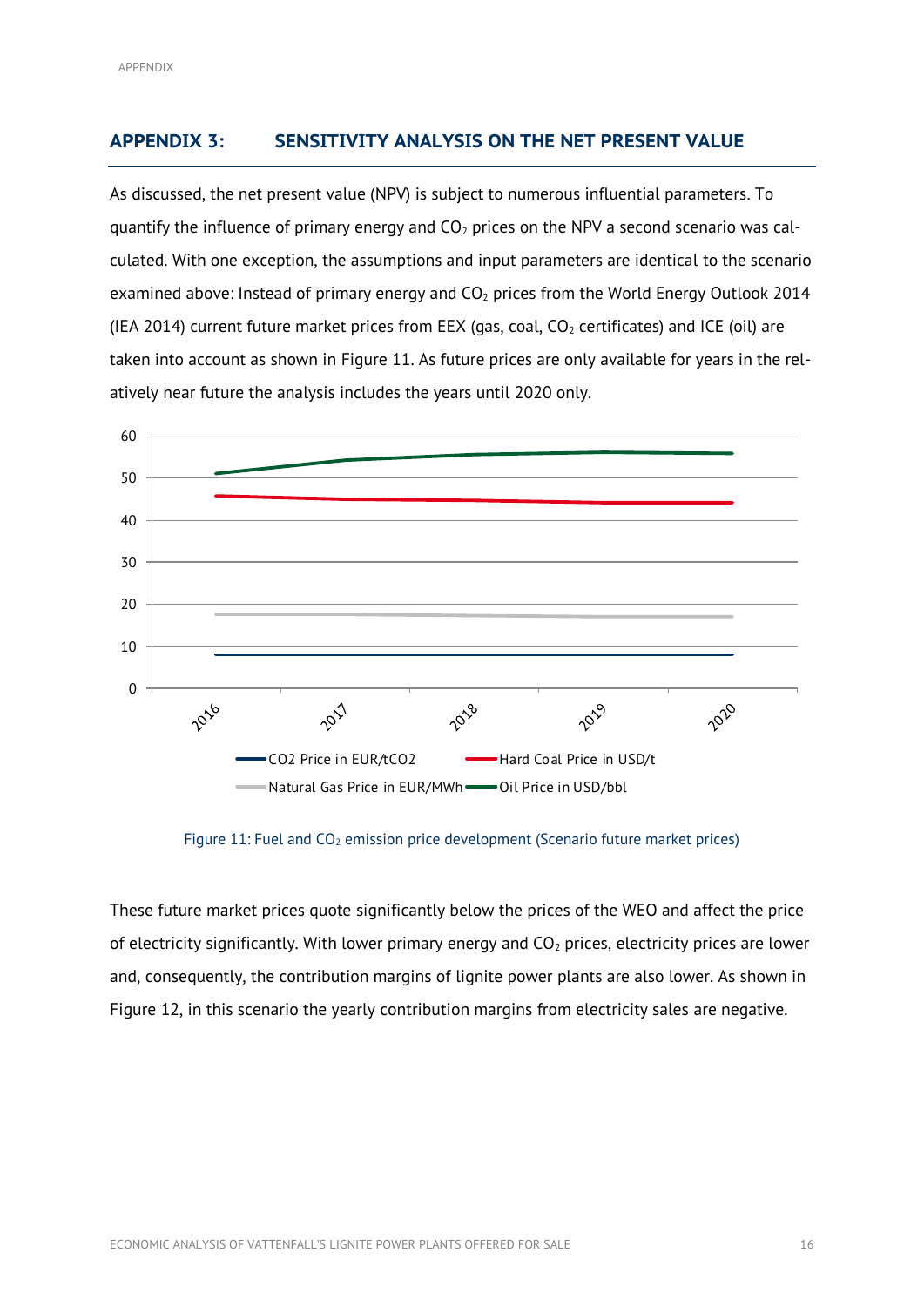## <span id="page-18-0"></span>**APPENDIX 3: SENSITIVITY ANALYSIS ON THE NET PRESENT VALUE**

As discussed, the net present value (NPV) is subject to numerous influential parameters. To quantify the influence of primary energy and  $CO<sub>2</sub>$  prices on the NPV a second scenario was calculated. With one exception, the assumptions and input parameters are identical to the scenario examined above: Instead of primary energy and  $CO<sub>2</sub>$  prices from the World Energy Outlook 2014 (IEA 2014) current future market prices from EEX (gas, coal,  $CO<sub>2</sub>$  certificates) and ICE (oil) are taken into account as shown in [Figure 11.](#page-18-1) As future prices are only available for years in the relatively near future the analysis includes the years until 2020 only.



Figure 11: Fuel and  $CO<sub>2</sub>$  emission price development (Scenario future market prices)

<span id="page-18-1"></span>These future market prices quote significantly below the prices of the WEO and affect the price of electricity significantly. With lower primary energy and  $CO<sub>2</sub>$  prices, electricity prices are lower and, consequently, the contribution margins of lignite power plants are also lower. As shown in [Figure 12,](#page-19-0) in this scenario the yearly contribution margins from electricity sales are negative.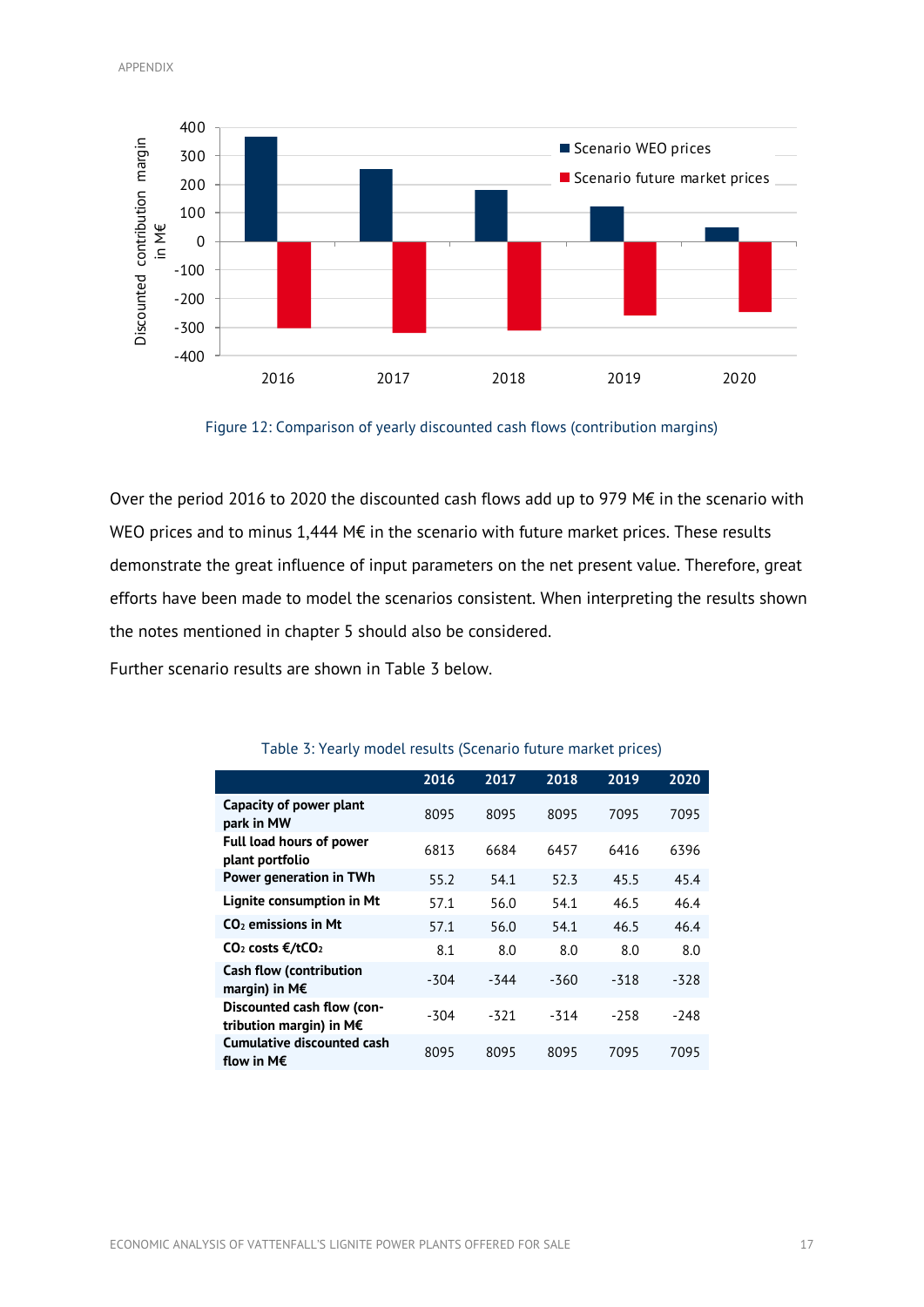

Figure 12: Comparison of yearly discounted cash flows (contribution margins)

<span id="page-19-0"></span>Over the period 2016 to 2020 the discounted cash flows add up to 979 M€ in the scenario with WEO prices and to minus 1,444 M€ in the scenario with future market prices. These results demonstrate the great influence of input parameters on the net present value. Therefore, great efforts have been made to model the scenarios consistent. When interpreting the results shown the notes mentioned in chapter 5 should also be considered.

<span id="page-19-1"></span>Further scenario results are shown in [Table 3](#page-19-1) below.

|                                                            | 2016   | 2017   | 2018   | 2019   | 2020   |
|------------------------------------------------------------|--------|--------|--------|--------|--------|
| Capacity of power plant<br>park in MW                      | 8095   | 8095   | 8095   | 7095   | 7095   |
| <b>Full load hours of power</b><br>plant portfolio         | 6813   | 6684   | 6457   | 6416   | 6396   |
| Power generation in TWh                                    | 55.2   | 54.1   | 52.3   | 45.5   | 45.4   |
| Lignite consumption in Mt                                  | 57.1   | 56.0   | 54.1   | 46.5   | 46.4   |
| $CO2$ emissions in Mt                                      | 57.1   | 56.0   | 54.1   | 46.5   | 46.4   |
| $CO2 \text{costs } \epsilon/tCO2$                          | 8.1    | 8.0    | 8.0    | 8.0    | 8.0    |
| <b>Cash flow (contribution</b><br>margin) in M $\epsilon$  | $-304$ | $-344$ | $-360$ | $-318$ | $-328$ |
| Discounted cash flow (con-<br>tribution margin) in $M \in$ | -304   | -321   | $-314$ | $-258$ | -248   |
| Cumulative discounted cash<br>flow in M $\epsilon$         | 8095   | 8095   | 8095   | 7095   | 7095   |

#### Table 3: Yearly model results (Scenario future market prices)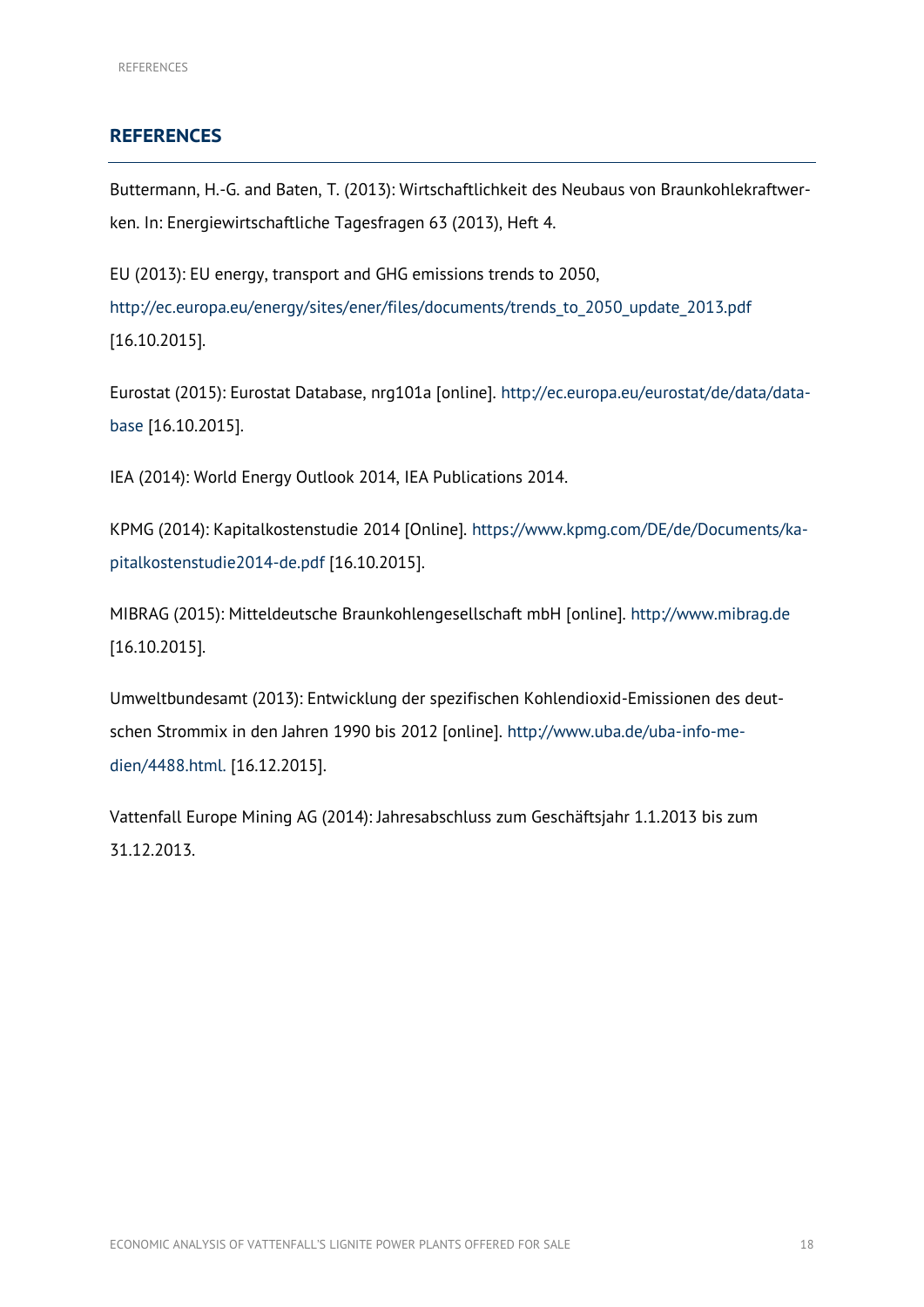#### <span id="page-20-0"></span>**REFERENCES**

Buttermann, H.-G. and Baten, T. (2013): Wirtschaftlichkeit des Neubaus von Braunkohlekraftwerken. In: Energiewirtschaftliche Tagesfragen 63 (2013), Heft 4.

EU (2013): EU energy, transport and GHG emissions trends to 2050, [http://ec.europa.eu/energy/sites/ener/files/documents/trends\\_to\\_2050\\_update\\_2013.pdf](http://ec.europa.eu/energy/sites/ener/files/documents/trends_to_2050_update_2013.pdf) [16.10.2015].

Eurostat (2015): Eurostat Database, nrg101a [online]. [http://ec.europa.eu/eurostat/de/data/data](http://ec.europa.eu/eurostat/de/data/database)[base](http://ec.europa.eu/eurostat/de/data/database) [16.10.2015].

IEA (2014): World Energy Outlook 2014, IEA Publications 2014.

KPMG (2014): Kapitalkostenstudie 2014 [Online]. [https://www.kpmg.com/DE/de/Documents/ka](https://www.kpmg.com/DE/de/Documents/kapitalkostenstudie2014-de.pdf)[pitalkostenstudie2014-de.pdf](https://www.kpmg.com/DE/de/Documents/kapitalkostenstudie2014-de.pdf) [16.10.2015].

MIBRAG (2015): Mitteldeutsche Braunkohlengesellschaft mbH [online]. [http://www.mibrag.de](http://www.mibrag.de/) [16.10.2015].

Umweltbundesamt (2013): Entwicklung der spezifischen Kohlendioxid-Emissionen des deutschen Strommix in den Jahren 1990 bis 2012 [online]. [http://www.uba.de/uba-info-me](http://www.uba.de/uba-info-medien/4488.html)[dien/4488.html.](http://www.uba.de/uba-info-medien/4488.html) [16.12.2015].

Vattenfall Europe Mining AG (2014): Jahresabschluss zum Geschäftsjahr 1.1.2013 bis zum 31.12.2013.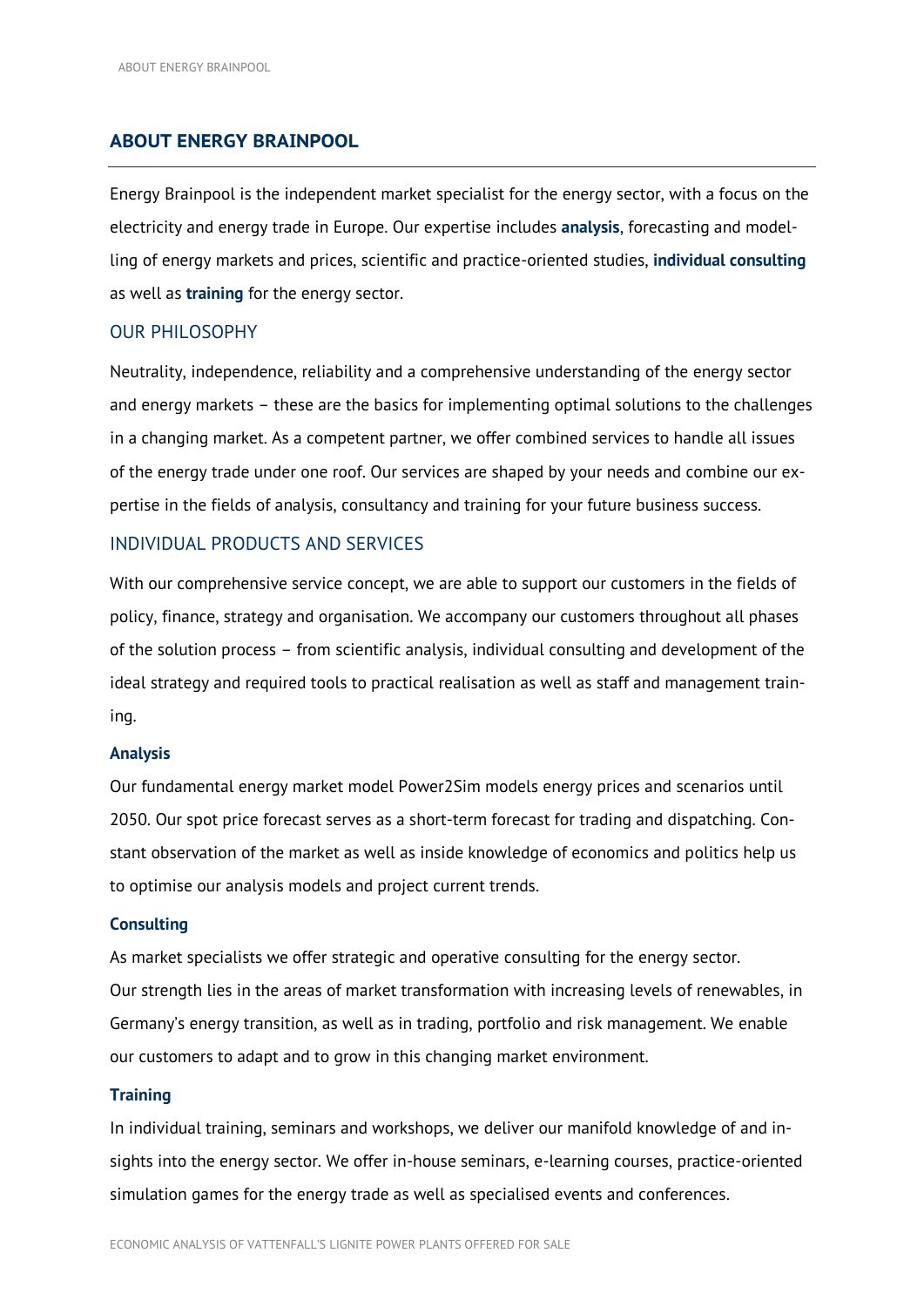#### <span id="page-21-0"></span>**ABOUT ENERGY BRAINPOOL**

Energy Brainpool is the independent market specialist for the energy sector, with a focus on the electricity and energy trade in Europe. Our expertise includes **analysis**, forecasting and modelling of energy markets and prices, scientific and practice-oriented studies, **individual consulting** as well as **training** for the energy sector.

#### OUR PHILOSOPHY

Neutrality, independence, reliability and a comprehensive understanding of the energy sector and energy markets – these are the basics for implementing optimal solutions to the challenges in a changing market. As a competent partner, we offer combined services to handle all issues of the energy trade under one roof. Our services are shaped by your needs and combine our expertise in the fields of analysis, consultancy and training for your future business success.

#### INDIVIDUAL PRODUCTS AND SERVICES

With our comprehensive service concept, we are able to support our customers in the fields of policy, finance, strategy and organisation. We accompany our customers throughout all phases of the solution process – from scientific analysis, individual consulting and development of the ideal strategy and required tools to practical realisation as well as staff and management training.

#### **Analysis**

Our fundamental energy market model Power2Sim models energy prices and scenarios until 2050. Our spot price forecast serves as a short-term forecast for trading and dispatching. Constant observation of the market as well as inside knowledge of economics and politics help us to optimise our analysis models and project current trends.

#### **Consulting**

As market specialists we offer strategic and operative consulting for the energy sector. Our strength lies in the areas of market transformation with increasing levels of renewables, in Germany's energy transition, as well as in trading, portfolio and risk management. We enable our customers to adapt and to grow in this changing market environment.

#### **Training**

In individual training, seminars and workshops, we deliver our manifold knowledge of and insights into the energy sector. We offer in-house seminars, e-learning courses, practice-oriented simulation games for the energy trade as well as specialised events and conferences.